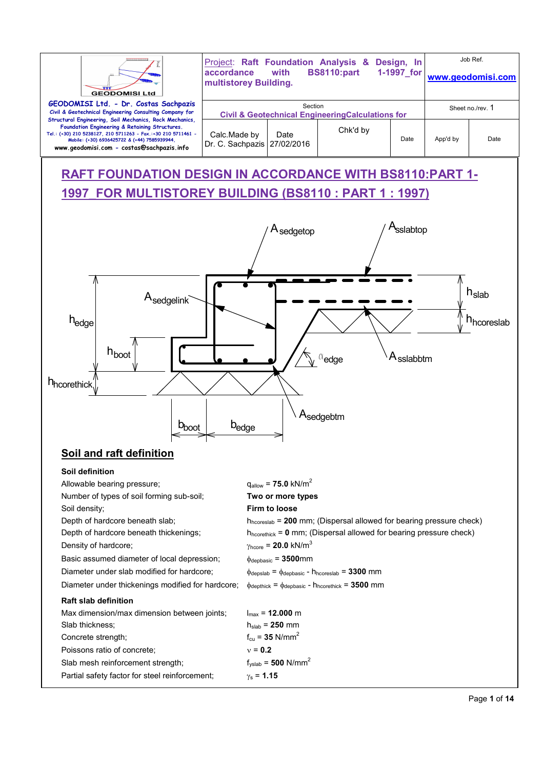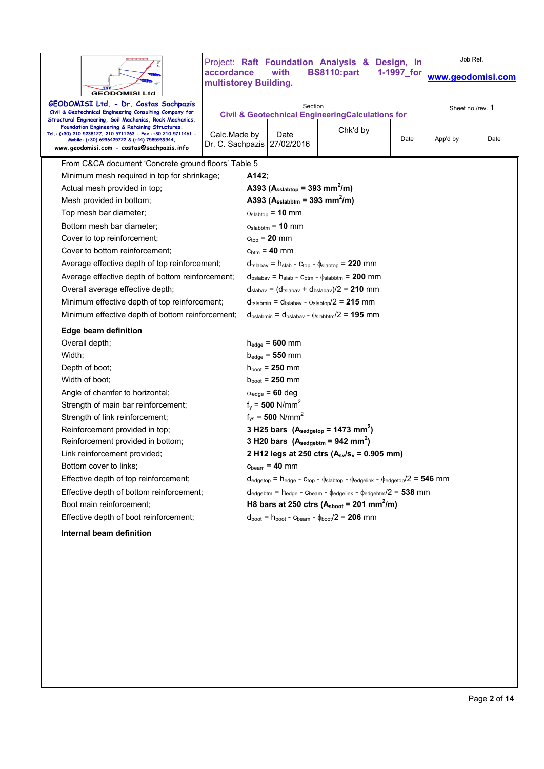| <b>GEODOMISI Ltd</b>                                                                                                                                                                                                                                                    | accordance<br>multistorey Building.                                        |                                                          | with                                                       | Project: Raft Foundation Analysis & Design, In<br><b>BS8110:part</b>                                                                        | 1-1997_for |          | Job Ref.<br>www.geodomisi.com |  |
|-------------------------------------------------------------------------------------------------------------------------------------------------------------------------------------------------------------------------------------------------------------------------|----------------------------------------------------------------------------|----------------------------------------------------------|------------------------------------------------------------|---------------------------------------------------------------------------------------------------------------------------------------------|------------|----------|-------------------------------|--|
| GEODOMISI Ltd. - Dr. Costas Sachpazis<br>Civil & Geotechnical Engineering Consulting Company for                                                                                                                                                                        |                                                                            |                                                          | Section                                                    | <b>Civil &amp; Geotechnical EngineeringCalculations for</b>                                                                                 |            |          | Sheet no./rev. 1              |  |
| Structural Engineering, Soil Mechanics, Rock Mechanics,<br>Foundation Engineering & Retaining Structures.<br>Tel.: (+30) 210 5238127, 210 5711263 - Fax.:+30 210 5711461 -<br>Mobile: (+30) 6936425722 & (+44) 7585939944,<br>www.geodomisi.com - costas@sachpazis.info | Calc.Made by<br>Dr. C. Sachpazis                                           |                                                          | Date<br>27/02/2016                                         | Chk'd by                                                                                                                                    | Date       | App'd by | Date                          |  |
| From C&CA document 'Concrete ground floors' Table 5                                                                                                                                                                                                                     |                                                                            |                                                          |                                                            |                                                                                                                                             |            |          |                               |  |
| Minimum mesh required in top for shrinkage;                                                                                                                                                                                                                             |                                                                            | A142:                                                    |                                                            |                                                                                                                                             |            |          |                               |  |
| Actual mesh provided in top;                                                                                                                                                                                                                                            |                                                                            |                                                          | A393 ( $A_{\text{salabtop}} = 393 \text{ mm}^2/\text{m}$ ) |                                                                                                                                             |            |          |                               |  |
| Mesh provided in bottom;                                                                                                                                                                                                                                                |                                                                            |                                                          | A393 (Asslabbtm = 393 mm <sup>2</sup> /m)                  |                                                                                                                                             |            |          |                               |  |
| Top mesh bar diameter;                                                                                                                                                                                                                                                  |                                                                            |                                                          | $\phi_{\text{slabtop}} = 10 \text{ mm}$                    |                                                                                                                                             |            |          |                               |  |
| Bottom mesh bar diameter;                                                                                                                                                                                                                                               |                                                                            |                                                          | $\phi_{\text{slabbtm}} = 10 \text{ mm}$                    |                                                                                                                                             |            |          |                               |  |
| Cover to top reinforcement;                                                                                                                                                                                                                                             |                                                                            |                                                          | $ctop = 20$ mm                                             |                                                                                                                                             |            |          |                               |  |
| Cover to bottom reinforcement;                                                                                                                                                                                                                                          |                                                                            |                                                          | $c_{\text{btm}} = 40$ mm                                   |                                                                                                                                             |            |          |                               |  |
| Average effective depth of top reinforcement;                                                                                                                                                                                                                           |                                                                            |                                                          |                                                            | $d_{\text{tslabav}} = h_{\text{slab}} - c_{\text{top}} - \phi_{\text{slabtop}} = 220$ mm                                                    |            |          |                               |  |
| Average effective depth of bottom reinforcement;                                                                                                                                                                                                                        |                                                                            |                                                          |                                                            | $d_{\text{bslabav}} = h_{\text{slab}} - c_{\text{btm}} - \phi_{\text{slabbtm}} = 200$ mm                                                    |            |          |                               |  |
| Overall average effective depth;                                                                                                                                                                                                                                        | $d_{\text{slabav}} = (d_{\text{tslabav}} + d_{\text{bslabav}})/2 = 210$ mm |                                                          |                                                            |                                                                                                                                             |            |          |                               |  |
| Minimum effective depth of top reinforcement;                                                                                                                                                                                                                           |                                                                            | $d_{tslabmin} = d_{tslabav} - \phi_{slabtop}/2 = 215$ mm |                                                            |                                                                                                                                             |            |          |                               |  |
| Minimum effective depth of bottom reinforcement;                                                                                                                                                                                                                        |                                                                            |                                                          |                                                            | $d_{\text{bslabmin}} = d_{\text{bslabav}} - \phi_{\text{slabbtm}}/2 = 195$ mm                                                               |            |          |                               |  |
| Edge beam definition                                                                                                                                                                                                                                                    |                                                                            |                                                          |                                                            |                                                                                                                                             |            |          |                               |  |
| Overall depth;                                                                                                                                                                                                                                                          |                                                                            |                                                          | $h_{edge} = 600$ mm                                        |                                                                                                                                             |            |          |                               |  |
| Width;                                                                                                                                                                                                                                                                  |                                                                            |                                                          | $b_{edge} = 550$ mm                                        |                                                                                                                                             |            |          |                               |  |
| Depth of boot;                                                                                                                                                                                                                                                          |                                                                            |                                                          | $h_{\text{boot}} = 250$ mm                                 |                                                                                                                                             |            |          |                               |  |
| Width of boot:                                                                                                                                                                                                                                                          |                                                                            |                                                          | $b_{boot} = 250$ mm                                        |                                                                                                                                             |            |          |                               |  |
| Angle of chamfer to horizontal;                                                                                                                                                                                                                                         |                                                                            |                                                          | $\alpha_{\text{edge}}$ = 60 deg                            |                                                                                                                                             |            |          |                               |  |
| Strength of main bar reinforcement;                                                                                                                                                                                                                                     |                                                                            |                                                          | $f_v = 500$ N/mm <sup>2</sup>                              |                                                                                                                                             |            |          |                               |  |
| Strength of link reinforcement;                                                                                                                                                                                                                                         |                                                                            |                                                          | $f_{\text{ys}} = 500 \text{ N/mm}^2$                       |                                                                                                                                             |            |          |                               |  |
| Reinforcement provided in top;                                                                                                                                                                                                                                          |                                                                            |                                                          |                                                            | 3 H25 bars $(A_{\text{sedgetop}} = 1473 \text{ mm}^2)$                                                                                      |            |          |                               |  |
| Reinforcement provided in bottom;                                                                                                                                                                                                                                       |                                                                            |                                                          |                                                            | 3 H20 bars $(A_{\text{sedgebra}} = 942 \text{ mm}^2)$                                                                                       |            |          |                               |  |
| Link reinforcement provided;                                                                                                                                                                                                                                            |                                                                            |                                                          |                                                            | 2 H12 legs at 250 ctrs $(A_{sv}/s_v = 0.905$ mm)                                                                                            |            |          |                               |  |
| Bottom cover to links;                                                                                                                                                                                                                                                  |                                                                            |                                                          | $c_{beam} = 40$ mm                                         |                                                                                                                                             |            |          |                               |  |
| Effective depth of top reinforcement;                                                                                                                                                                                                                                   |                                                                            |                                                          |                                                            | $d_{\text{edgetop}} = h_{\text{edge}} - c_{\text{top}} - \phi_{\text{slabtop}} - \phi_{\text{edgelink}} - \phi_{\text{edgetop}}/2 = 546$ mm |            |          |                               |  |
| Effective depth of bottom reinforcement;                                                                                                                                                                                                                                |                                                                            |                                                          |                                                            | $d_{\text{edgebtm}} = h_{\text{edge}} - c_{\text{beam}} - \phi_{\text{edgelink}} - \phi_{\text{edgebtm}}/2 = 538$ mm                        |            |          |                               |  |
| Boot main reinforcement:                                                                                                                                                                                                                                                |                                                                            |                                                          |                                                            | H8 bars at 250 ctrs ( $A_{\text{shoot}}$ = 201 mm <sup>2</sup> /m)                                                                          |            |          |                               |  |
| Effective depth of boot reinforcement;                                                                                                                                                                                                                                  |                                                                            |                                                          |                                                            | $d_{boot}$ = $h_{boot}$ - $c_{beam}$ - $\phi_{boot}/2$ = 206 mm                                                                             |            |          |                               |  |
| Internal beam definition                                                                                                                                                                                                                                                |                                                                            |                                                          |                                                            |                                                                                                                                             |            |          |                               |  |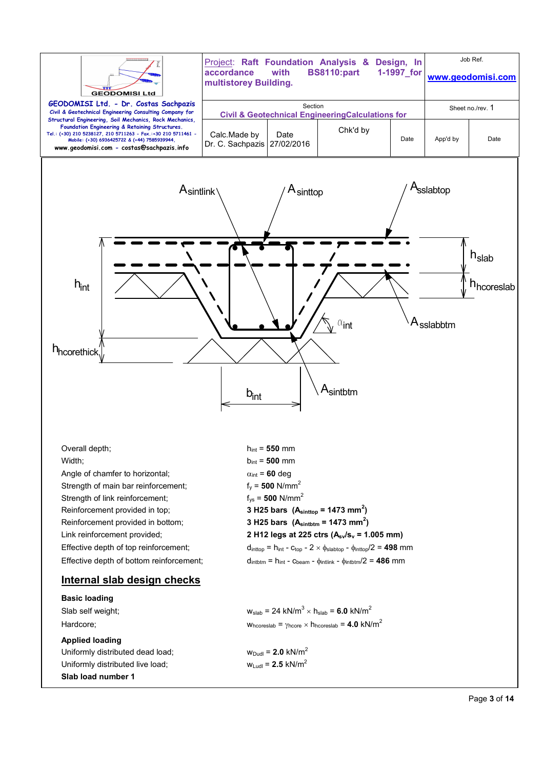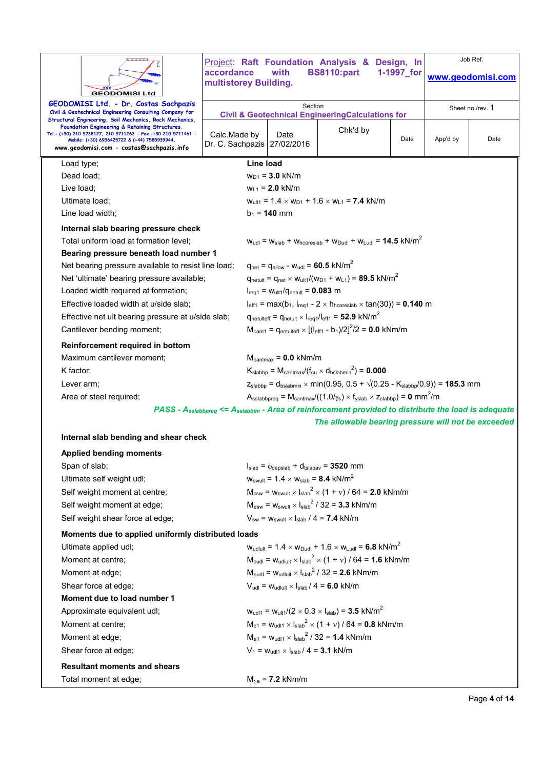| <b>GEODOMISI Ltd</b>                                                                                                                                                                                                                                                    | accordance<br>multistorey Building.                                                                                 | Project: Raft Foundation Analysis & Design, In<br><b>BS8110:part</b><br>with                                      | 1-1997_for                                                                                                                                        | Job Ref.<br>www.geodomisi.com |                  |      |  |  |  |
|-------------------------------------------------------------------------------------------------------------------------------------------------------------------------------------------------------------------------------------------------------------------------|---------------------------------------------------------------------------------------------------------------------|-------------------------------------------------------------------------------------------------------------------|---------------------------------------------------------------------------------------------------------------------------------------------------|-------------------------------|------------------|------|--|--|--|
| GEODOMISI Ltd. - Dr. Costas Sachpazis<br>Civil & Geotechnical Engineering Consulting Company for                                                                                                                                                                        |                                                                                                                     | Section                                                                                                           | <b>Civil &amp; Geotechnical EngineeringCalculations for</b>                                                                                       |                               | Sheet no./rev. 1 |      |  |  |  |
| Structural Engineering, Soil Mechanics, Rock Mechanics,<br>Foundation Engineering & Retaining Structures.<br>Tel.: (+30) 210 5238127, 210 5711263 - Fax.:+30 210 5711461 -<br>Mobile: (+30) 6936425722 & (+44) 7585939944,<br>www.geodomisi.com - costas@sachpazis.info | Calc.Made by<br>Dr. C. Sachpazis   27/02/2016                                                                       | Date                                                                                                              | Chk'd by                                                                                                                                          | Date                          | App'd by         | Date |  |  |  |
| Load type;                                                                                                                                                                                                                                                              |                                                                                                                     | <b>Line load</b>                                                                                                  |                                                                                                                                                   |                               |                  |      |  |  |  |
| Dead load;                                                                                                                                                                                                                                                              |                                                                                                                     | $w_{D1} = 3.0$ kN/m                                                                                               |                                                                                                                                                   |                               |                  |      |  |  |  |
| Live load;                                                                                                                                                                                                                                                              |                                                                                                                     | $w_{L1}$ = 2.0 kN/m                                                                                               |                                                                                                                                                   |                               |                  |      |  |  |  |
| Ultimate load;                                                                                                                                                                                                                                                          |                                                                                                                     |                                                                                                                   | $w_{\text{ultt}} = 1.4 \times w_{\text{D1}} + 1.6 \times w_{\text{L1}} = 7.4 \text{ kN/m}$                                                        |                               |                  |      |  |  |  |
| Line load width;                                                                                                                                                                                                                                                        |                                                                                                                     | $b_1 = 140$ mm                                                                                                    |                                                                                                                                                   |                               |                  |      |  |  |  |
| Internal slab bearing pressure check                                                                                                                                                                                                                                    |                                                                                                                     |                                                                                                                   |                                                                                                                                                   |                               |                  |      |  |  |  |
| Total uniform load at formation level;                                                                                                                                                                                                                                  |                                                                                                                     |                                                                                                                   | $W_{\text{udl}} = W_{\text{slab}} + W_{\text{hcoreslab}} + W_{\text{Dudl}} + W_{\text{Ludl}} = 14.5 \text{ kN/m}^2$                               |                               |                  |      |  |  |  |
| Bearing pressure beneath load number 1                                                                                                                                                                                                                                  |                                                                                                                     |                                                                                                                   |                                                                                                                                                   |                               |                  |      |  |  |  |
| Net bearing pressure available to resist line load;                                                                                                                                                                                                                     |                                                                                                                     | $q_{net} = q_{allow} - w_{ud} = 60.5 \text{ kN/m}^2$                                                              |                                                                                                                                                   |                               |                  |      |  |  |  |
| Net 'ultimate' bearing pressure available;                                                                                                                                                                                                                              |                                                                                                                     | $q_{\text{netult}} = q_{\text{net}} \times w_{\text{ult1}}/(w_{\text{D1}} + w_{\text{L1}}) = 89.5 \text{ kN/m}^2$ |                                                                                                                                                   |                               |                  |      |  |  |  |
| Loaded width required at formation;                                                                                                                                                                                                                                     | $I_{\text{real}} = W_{\text{ulit}}/Q_{\text{netult}} = 0.083$ m                                                     |                                                                                                                   |                                                                                                                                                   |                               |                  |      |  |  |  |
| Effective loaded width at u/side slab;                                                                                                                                                                                                                                  | $I_{eff1}$ = max(b <sub>1</sub> , $I_{req1}$ - 2 $\times$ h <sub>hcoreslab</sub> $\times$ tan(30)) = <b>0.140</b> m |                                                                                                                   |                                                                                                                                                   |                               |                  |      |  |  |  |
| Effective net ult bearing pressure at u/side slab;                                                                                                                                                                                                                      |                                                                                                                     | $q_{\text{netulteff}} = q_{\text{netult}} \times I_{\text{req1}}/I_{\text{eff1}} = 52.9 \text{ kN/m}^2$           |                                                                                                                                                   |                               |                  |      |  |  |  |
| Cantilever bending moment;                                                                                                                                                                                                                                              |                                                                                                                     |                                                                                                                   | $M_{\text{cant1}} = q_{\text{netulteff}} \times \left[ (l_{\text{eff1}} - b_1)/2 \right]^2 / 2 = 0.0 \text{ kNm/m}$                               |                               |                  |      |  |  |  |
| Reinforcement required in bottom                                                                                                                                                                                                                                        |                                                                                                                     |                                                                                                                   |                                                                                                                                                   |                               |                  |      |  |  |  |
| Maximum cantilever moment;                                                                                                                                                                                                                                              |                                                                                                                     | $M_{\text{cantmax}} = 0.0 \text{ kNm/m}$                                                                          |                                                                                                                                                   |                               |                  |      |  |  |  |
| K factor:                                                                                                                                                                                                                                                               |                                                                                                                     |                                                                                                                   | $K_{\text{slabbp}} = M_{\text{cantmax}}/(f_{\text{cu}} \times d_{\text{bslabmin}}^2) = 0.000$                                                     |                               |                  |      |  |  |  |
| Lever arm;                                                                                                                                                                                                                                                              |                                                                                                                     |                                                                                                                   | $z_{\text{slabbp}} = d_{\text{bslabmin}} \times \text{min}(0.95, 0.5 + \sqrt{(0.25 - K_{\text{slabbp}}/0.9)}) = 185.3 \text{ mm}$                 |                               |                  |      |  |  |  |
| Area of steel required;                                                                                                                                                                                                                                                 |                                                                                                                     |                                                                                                                   | $A_{\text{sslabbpreq}} = M_{\text{cantmax}}/((1.0/\gamma_{\text{s}}) \times f_{\text{yslab}} \times Z_{\text{slabbp}}) = 0 \text{ mm}^2/\text{m}$ |                               |                  |      |  |  |  |
|                                                                                                                                                                                                                                                                         |                                                                                                                     |                                                                                                                   | PASS - Asslabbreg <= Asslabbtm - Area of reinforcement provided to distribute the load is adequate                                                |                               |                  |      |  |  |  |
|                                                                                                                                                                                                                                                                         |                                                                                                                     |                                                                                                                   | The allowable bearing pressure will not be exceeded                                                                                               |                               |                  |      |  |  |  |
| Internal slab bending and shear check                                                                                                                                                                                                                                   |                                                                                                                     |                                                                                                                   |                                                                                                                                                   |                               |                  |      |  |  |  |
| <b>Applied bending moments</b>                                                                                                                                                                                                                                          |                                                                                                                     |                                                                                                                   |                                                                                                                                                   |                               |                  |      |  |  |  |
| Span of slab;                                                                                                                                                                                                                                                           |                                                                                                                     | $I_{\text{slab}} = \phi_{\text{depslab}} + d_{\text{tslabav}} = 3520$ mm                                          |                                                                                                                                                   |                               |                  |      |  |  |  |
| Ultimate self weight udl;                                                                                                                                                                                                                                               |                                                                                                                     | $W_{swult} = 1.4 \times W_{slab} = 8.4$ kN/m <sup>2</sup>                                                         |                                                                                                                                                   |                               |                  |      |  |  |  |
| Self weight moment at centre;                                                                                                                                                                                                                                           |                                                                                                                     |                                                                                                                   | $M_{csw}$ = $w_{swult} \times I_{slab}^{2} \times (1 + v) / 64 = 2.0$ kNm/m                                                                       |                               |                  |      |  |  |  |
| Self weight moment at edge;                                                                                                                                                                                                                                             |                                                                                                                     |                                                                                                                   | $M_{\text{esw}} = w_{\text{swult}} \times I_{\text{slab}}^2 / 32 = 3.3 \text{ kNm/m}$                                                             |                               |                  |      |  |  |  |
| Self weight shear force at edge;                                                                                                                                                                                                                                        |                                                                                                                     | $V_{sw}$ = $W_{swult}$ × $I_{slab}$ / 4 = <b>7.4</b> kN/m                                                         |                                                                                                                                                   |                               |                  |      |  |  |  |
| Moments due to applied uniformly distributed loads                                                                                                                                                                                                                      |                                                                                                                     |                                                                                                                   |                                                                                                                                                   |                               |                  |      |  |  |  |
| Ultimate applied udl;                                                                                                                                                                                                                                                   |                                                                                                                     |                                                                                                                   | $W_{\text{udlult}} = 1.4 \times W_{\text{Dudl}} + 1.6 \times W_{\text{Ludl}} = 6.8 \text{ kN/m}^2$                                                |                               |                  |      |  |  |  |
|                                                                                                                                                                                                                                                                         |                                                                                                                     |                                                                                                                   |                                                                                                                                                   |                               |                  |      |  |  |  |

| Ultimate applied udi:               | $W_{\text{udlult}} = 1.4 \times W_{\text{Dudl}} + 1.6 \times W_{\text{Ludl}} = 6.8 \text{ KN/m}^{-1}$  |
|-------------------------------------|--------------------------------------------------------------------------------------------------------|
| Moment at centre;                   | $M_{\text{cudl}} = W_{\text{udlult}} \times I_{\text{slab}}^2 \times (1 + v) / 64 = 1.6 \text{ kNm/m}$ |
| Moment at edge;                     | $M_{\text{eudl}} = w_{\text{udlult}} \times I_{\text{slab}}^2 / 32 = 2.6 \text{ kNm/m}$                |
| Shear force at edge:                | $V_{\text{udl}} = W_{\text{udlult}} \times I_{\text{slab}} / 4 = 6.0 \text{ kN/m}$                     |
| Moment due to load number 1         |                                                                                                        |
| Approximate equivalent udl;         | $w_{\text{ud11}} = w_{\text{ul11}} / (2 \times 0.3 \times I_{\text{slab}}) = 3.5 \text{ kN/m}^2$       |
| Moment at centre;                   | $M_{c1} = w_{ud11} \times I_{slab}^2 \times (1 + v) / 64 = 0.8$ kNm/m                                  |
| Moment at edge;                     | $M_{\text{e}1}$ = $W_{\text{ud}11} \times I_{\text{slab}}^2 / 32 = 1.4$ kNm/m                          |
| Shear force at edge;                | $V_1 = w_{\text{ud11}} \times l_{\text{slab}} / 4 = 3.1 \text{ kN/m}$                                  |
| <b>Resultant moments and shears</b> |                                                                                                        |
| Total moment at edge:               | $M_{\rm{Se}}$ = 7.2 kNm/m                                                                              |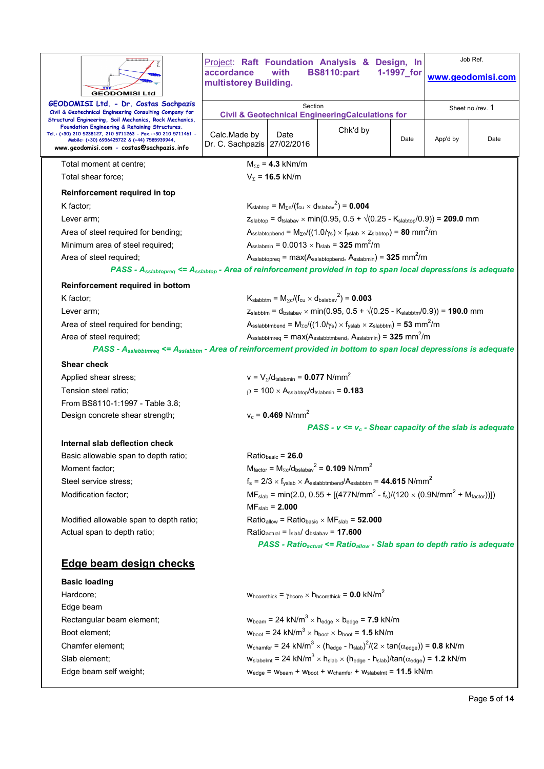| <b>GEODOMISI Ltd</b>                                                                                                                                                                                         | Project: Raft Foundation Analysis & Design, In<br>accordance<br>multistorey Building.                                        | 1-1997_for                                                              | Job Ref.<br>www.geodomisi.com                                                                                                                                             |  |                  |  |  |  |  |
|--------------------------------------------------------------------------------------------------------------------------------------------------------------------------------------------------------------|------------------------------------------------------------------------------------------------------------------------------|-------------------------------------------------------------------------|---------------------------------------------------------------------------------------------------------------------------------------------------------------------------|--|------------------|--|--|--|--|
| GEODOMISI Ltd. - Dr. Costas Sachpazis<br>Civil & Geotechnical Engineering Consulting Company for                                                                                                             |                                                                                                                              | Section                                                                 | <b>Civil &amp; Geotechnical EngineeringCalculations for</b>                                                                                                               |  | Sheet no./rev. 1 |  |  |  |  |
| Foundation Engineering & Retaining Structures.<br>Tel.: (+30) 210 5238127, 210 5711263 - Fax.:+30 210 5711461 -<br>Mobile: (+30) 6936425722 & (+44) 7585939944,<br>www.geodomisi.com - costas@sachpazis.info | Structural Engineering, Soil Mechanics, Rock Mechanics,<br>Chk'd by<br>Calc.Made by<br>Date<br>Dr. C. Sachpazis   27/02/2016 |                                                                         |                                                                                                                                                                           |  |                  |  |  |  |  |
| Total moment at centre:                                                                                                                                                                                      |                                                                                                                              | $M_{\Sigma C}$ = 4.3 kNm/m                                              |                                                                                                                                                                           |  |                  |  |  |  |  |
| Total shear force;                                                                                                                                                                                           |                                                                                                                              | $V_{\Sigma}$ = 16.5 kN/m                                                |                                                                                                                                                                           |  |                  |  |  |  |  |
| Reinforcement required in top                                                                                                                                                                                |                                                                                                                              |                                                                         |                                                                                                                                                                           |  |                  |  |  |  |  |
| K factor:                                                                                                                                                                                                    |                                                                                                                              |                                                                         | $K_{\text{slabtoo}} = M_{\Sigma}e/ (f_{\text{cu}} \times d_{\text{tslabav}}^2) = 0.004$                                                                                   |  |                  |  |  |  |  |
| Lever arm;                                                                                                                                                                                                   |                                                                                                                              |                                                                         | $z_{\text{slabtop}} = d_{\text{tslabav}} \times \text{min}(0.95, 0.5 + \sqrt{(0.25 - K_{\text{slabtop}}/0.9)}) = 209.0 \text{ mm}$                                        |  |                  |  |  |  |  |
| Area of steel required for bending;                                                                                                                                                                          |                                                                                                                              |                                                                         | $A_{\text{sslabtopbend}} = M_{\Sigma} / ((1.0/\gamma_s) \times f_{\text{yslab}} \times Z_{\text{slabtop}}) = 80 \text{ mm}^2/\text{m}$                                    |  |                  |  |  |  |  |
| Minimum area of steel required;                                                                                                                                                                              |                                                                                                                              |                                                                         | $A_{\text{sslabmin}} = 0.0013 \times h_{\text{slab}} = 325 \text{ mm}^2/\text{m}$                                                                                         |  |                  |  |  |  |  |
| Area of steel required;                                                                                                                                                                                      |                                                                                                                              |                                                                         | $A_{\text{sslabored}} = \text{max}(A_{\text{sslaborobend}}, A_{\text{sslabmin}}) = 325 \text{ mm}^2/\text{m}$                                                             |  |                  |  |  |  |  |
| PASS - $A_{sslabtopred} \leq A_{sslabtop}$ - Area of reinforcement provided in top to span local depressions is adequate                                                                                     |                                                                                                                              |                                                                         |                                                                                                                                                                           |  |                  |  |  |  |  |
| Reinforcement required in bottom                                                                                                                                                                             |                                                                                                                              |                                                                         |                                                                                                                                                                           |  |                  |  |  |  |  |
| K factor;                                                                                                                                                                                                    |                                                                                                                              |                                                                         | $K_{\text{slabbtm}} = M_{\Sigma} / (f_{\text{cu}} \times d_{\text{bslabav}}^2) = 0.003$                                                                                   |  |                  |  |  |  |  |
| Lever arm;                                                                                                                                                                                                   |                                                                                                                              |                                                                         | $z_{\text{slabbtm}} = d_{\text{bslabav}} \times \text{min}(0.95, 0.5 + \sqrt{(0.25 - K_{\text{slabbtm}}/0.9)}) = 190.0 \text{ mm}$                                        |  |                  |  |  |  |  |
| Area of steel required for bending;                                                                                                                                                                          |                                                                                                                              |                                                                         | $A_{\text{sslabbtmbend}} = M_{\Sigma} / ((1.0/\gamma_s) \times f_{\text{yslab}} \times Z_{\text{slabbtm}}) = 53 \text{ mm}^2/\text{m}$                                    |  |                  |  |  |  |  |
| Area of steel required;                                                                                                                                                                                      |                                                                                                                              |                                                                         | $A_{\text{sslabbtmreq}} = \text{max}(A_{\text{sslabbtmbend}}, A_{\text{sslabmin}}) = 325 \text{ mm}^2/\text{m}$                                                           |  |                  |  |  |  |  |
| PASS - Asslabbtmreq <= Asslabbtm - Area of reinforcement provided in bottom to span local depressions is adequate                                                                                            |                                                                                                                              |                                                                         |                                                                                                                                                                           |  |                  |  |  |  |  |
| <b>Shear check</b>                                                                                                                                                                                           |                                                                                                                              |                                                                         |                                                                                                                                                                           |  |                  |  |  |  |  |
| Applied shear stress;                                                                                                                                                                                        |                                                                                                                              | $v = V\Sigma/dtslabmin = 0.077 N/mm2$                                   |                                                                                                                                                                           |  |                  |  |  |  |  |
| Tension steel ratio;                                                                                                                                                                                         |                                                                                                                              | $p = 100 \times A_{\text{sslabtop}}/d_{\text{tslabmin}} = 0.183$        |                                                                                                                                                                           |  |                  |  |  |  |  |
| From BS8110-1:1997 - Table 3.8;                                                                                                                                                                              |                                                                                                                              |                                                                         |                                                                                                                                                                           |  |                  |  |  |  |  |
| Design concrete shear strength;                                                                                                                                                                              |                                                                                                                              | $v_c = 0.469$ N/mm <sup>2</sup>                                         |                                                                                                                                                                           |  |                  |  |  |  |  |
|                                                                                                                                                                                                              |                                                                                                                              |                                                                         | <b>PASS - <math>v \leq v_c</math> - Shear capacity of the slab is adequate</b>                                                                                            |  |                  |  |  |  |  |
| Internal slab deflection check                                                                                                                                                                               |                                                                                                                              |                                                                         |                                                                                                                                                                           |  |                  |  |  |  |  |
| Basic allowable span to depth ratio;                                                                                                                                                                         |                                                                                                                              | $Ratio_{basic} = 26.0$                                                  |                                                                                                                                                                           |  |                  |  |  |  |  |
| Moment factor;                                                                                                                                                                                               |                                                                                                                              |                                                                         | $M_{\text{factor}} = M_{\Sigma c} / d_{\text{bslabav}}^2 = 0.109 \text{ N/mm}^2$                                                                                          |  |                  |  |  |  |  |
| Steel service stress:                                                                                                                                                                                        |                                                                                                                              |                                                                         | $f_s = 2/3 \times f_{yslab} \times A_{sslabbtmbend}/A_{sslabbtm} = 44.615 N/mm^2$                                                                                         |  |                  |  |  |  |  |
| Modification factor;                                                                                                                                                                                         |                                                                                                                              | $MF_{slab} = 2.000$                                                     | $MF_{slab}$ = min(2.0, 0.55 + [(477N/mm <sup>2</sup> - f <sub>s</sub> )/(120 × (0.9N/mm <sup>2</sup> + M <sub>factor</sub> ))])                                           |  |                  |  |  |  |  |
| Modified allowable span to depth ratio;                                                                                                                                                                      |                                                                                                                              |                                                                         | Ratio <sub>allow</sub> = Ratio <sub>basic</sub> $\times$ MF <sub>slab</sub> = <b>52.000</b>                                                                               |  |                  |  |  |  |  |
| Actual span to depth ratio;                                                                                                                                                                                  |                                                                                                                              | Ratio <sub>actual</sub> = $I_{\text{slab}}/d_{\text{bslabav}} = 17.600$ |                                                                                                                                                                           |  |                  |  |  |  |  |
|                                                                                                                                                                                                              |                                                                                                                              |                                                                         | <b>PASS</b> - Ratio <sub>actual</sub> $\leq$ Ratio <sub>allow</sub> - Slab span to depth ratio is adequate                                                                |  |                  |  |  |  |  |
| <b>Edge beam design checks</b>                                                                                                                                                                               |                                                                                                                              |                                                                         |                                                                                                                                                                           |  |                  |  |  |  |  |
| <b>Basic loading</b>                                                                                                                                                                                         |                                                                                                                              |                                                                         |                                                                                                                                                                           |  |                  |  |  |  |  |
| Hardcore;                                                                                                                                                                                                    |                                                                                                                              |                                                                         | Whcorethick = $\gamma$ hcore $\times$ h <sub>hcorethick</sub> = 0.0 kN/m <sup>2</sup>                                                                                     |  |                  |  |  |  |  |
| Edge beam                                                                                                                                                                                                    |                                                                                                                              |                                                                         |                                                                                                                                                                           |  |                  |  |  |  |  |
| Rectangular beam element;                                                                                                                                                                                    |                                                                                                                              |                                                                         | $w_{beam}$ = 24 kN/m <sup>3</sup> $\times$ h <sub>edge</sub> $\times$ b <sub>edge</sub> = <b>7.9</b> kN/m                                                                 |  |                  |  |  |  |  |
| Boot element;                                                                                                                                                                                                |                                                                                                                              |                                                                         | $w_{boot}$ = 24 kN/m <sup>3</sup> × h <sub>boot</sub> × b <sub>boot</sub> = <b>1.5</b> kN/m                                                                               |  |                  |  |  |  |  |
| Chamfer element;                                                                                                                                                                                             |                                                                                                                              |                                                                         | $w_{\text{chamfer}}$ = 24 kN/m <sup>3</sup> $\times$ (h <sub>edge</sub> - h <sub>slab</sub> ) <sup>2</sup> /(2 $\times$ tan( $\alpha_{\text{edge}}$ )) = 0.8 kN/m         |  |                  |  |  |  |  |
| Slab element;                                                                                                                                                                                                |                                                                                                                              |                                                                         | $w_{\text{slabelmt}}$ = 24 kN/m <sup>3</sup> $\times$ h <sub>slab</sub> $\times$ (h <sub>edge</sub> - h <sub>slab</sub> )/tan( $\alpha_{\text{edge}}$ ) = <b>1.2</b> kN/m |  |                  |  |  |  |  |
| Edge beam self weight;                                                                                                                                                                                       |                                                                                                                              |                                                                         | $W_{\text{edge}}$ = $W_{\text{beam}}$ + $W_{\text{boot}}$ + $W_{\text{chamfer}}$ + $W_{\text{slabelmt}}$ = 11.5 kN/m                                                      |  |                  |  |  |  |  |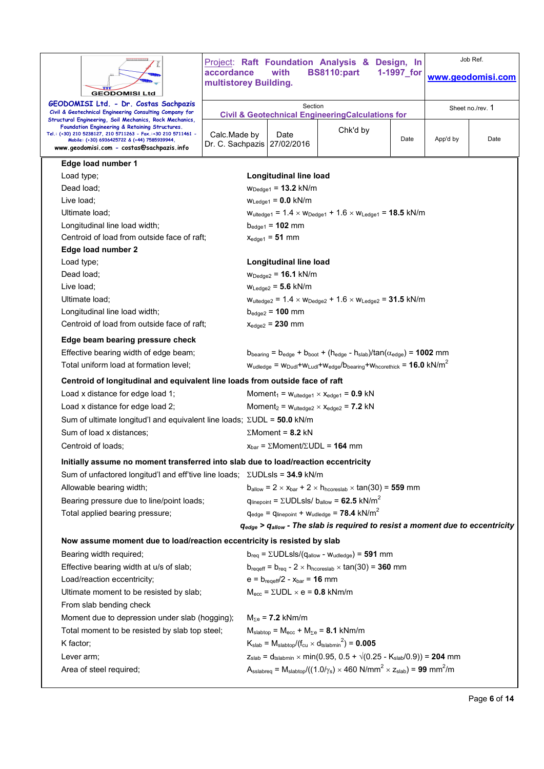| p <oe<br><b>GEODOMISI Ltd</b></oe<br>                                                                                                                                                                                                                                   | Project: Raft Foundation Analysis & Design, In<br>accordance<br>multistorey Building. | <b>BS8110:part</b><br>with                                                     | 1-1997_for                                                                                                                                         | Job Ref.<br>www.geodomisi.com |          |                  |
|-------------------------------------------------------------------------------------------------------------------------------------------------------------------------------------------------------------------------------------------------------------------------|---------------------------------------------------------------------------------------|--------------------------------------------------------------------------------|----------------------------------------------------------------------------------------------------------------------------------------------------|-------------------------------|----------|------------------|
| GEODOMISI Ltd. - Dr. Costas Sachpazis<br>Civil & Geotechnical Engineering Consulting Company for                                                                                                                                                                        |                                                                                       | Section                                                                        | <b>Civil &amp; Geotechnical EngineeringCalculations for</b>                                                                                        |                               |          | Sheet no./rev. 1 |
| Structural Engineering, Soil Mechanics, Rock Mechanics,<br>Foundation Engineering & Retaining Structures.<br>Tel.: (+30) 210 5238127, 210 5711263 - Fax.:+30 210 5711461 -<br>Mobile: (+30) 6936425722 & (+44) 7585939944,<br>www.geodomisi.com - costas@sachpazis.info | Calc.Made by<br>Dr. C. Sachpazis   27/02/2016                                         | Date                                                                           | Chk'd by                                                                                                                                           | Date                          | App'd by | Date             |
| Edge load number 1                                                                                                                                                                                                                                                      |                                                                                       |                                                                                |                                                                                                                                                    |                               |          |                  |
| Load type;                                                                                                                                                                                                                                                              |                                                                                       | <b>Longitudinal line load</b>                                                  |                                                                                                                                                    |                               |          |                  |
| Dead load;                                                                                                                                                                                                                                                              |                                                                                       | $W_{Dedge1} = 13.2$ kN/m                                                       |                                                                                                                                                    |                               |          |                  |
| Live load:                                                                                                                                                                                                                                                              |                                                                                       | $W_{\text{Ledge1}} = 0.0 \text{ kN/m}$                                         |                                                                                                                                                    |                               |          |                  |
| Ultimate load:                                                                                                                                                                                                                                                          |                                                                                       |                                                                                | $W_{ultedge1} = 1.4 \times W_{Dedge1} + 1.6 \times W_{Ledge1} = 18.5$ kN/m                                                                         |                               |          |                  |
| Longitudinal line load width;                                                                                                                                                                                                                                           |                                                                                       | $b_{edge1} = 102$ mm                                                           |                                                                                                                                                    |                               |          |                  |
| Centroid of load from outside face of raft:                                                                                                                                                                                                                             |                                                                                       | $x_{edge1} = 51$ mm                                                            |                                                                                                                                                    |                               |          |                  |
| Edge load number 2                                                                                                                                                                                                                                                      |                                                                                       |                                                                                |                                                                                                                                                    |                               |          |                  |
| Load type;                                                                                                                                                                                                                                                              |                                                                                       | <b>Longitudinal line load</b>                                                  |                                                                                                                                                    |                               |          |                  |
| Dead load;                                                                                                                                                                                                                                                              |                                                                                       | $W_{Dedge2} = 16.1$ kN/m                                                       |                                                                                                                                                    |                               |          |                  |
| Live load:                                                                                                                                                                                                                                                              |                                                                                       | $W_{\text{Ledge2}} = 5.6$ kN/m                                                 |                                                                                                                                                    |                               |          |                  |
| Ultimate load:                                                                                                                                                                                                                                                          |                                                                                       |                                                                                | $W_{ultedge2} = 1.4 \times W_{Dedge2} + 1.6 \times W_{Ledge2} = 31.5$ kN/m                                                                         |                               |          |                  |
| Longitudinal line load width;                                                                                                                                                                                                                                           |                                                                                       | $b_{edge2} = 100$ mm                                                           |                                                                                                                                                    |                               |          |                  |
| Centroid of load from outside face of raft;                                                                                                                                                                                                                             |                                                                                       | $x_{edge2} = 230$ mm                                                           |                                                                                                                                                    |                               |          |                  |
| Edge beam bearing pressure check                                                                                                                                                                                                                                        |                                                                                       |                                                                                |                                                                                                                                                    |                               |          |                  |
| Effective bearing width of edge beam;                                                                                                                                                                                                                                   |                                                                                       |                                                                                | $b_{\text{bearing}} = b_{\text{edge}} + b_{\text{boot}} + (h_{\text{edge}} - h_{\text{slab}})/\tan(\alpha_{\text{edge}}) = 1002$ mm                |                               |          |                  |
| Total uniform load at formation level;                                                                                                                                                                                                                                  |                                                                                       |                                                                                | $W_{\text{udledge}} = W_{\text{Dudl}} + W_{\text{Ludl}} + W_{\text{edge}} / D_{\text{bearing}} + W_{\text{hcorethick}} = 16.0 \text{ kN/m}^2$      |                               |          |                  |
| Centroid of longitudinal and equivalent line loads from outside face of raft                                                                                                                                                                                            |                                                                                       |                                                                                |                                                                                                                                                    |                               |          |                  |
| Load x distance for edge load 1;                                                                                                                                                                                                                                        |                                                                                       |                                                                                | Moment <sub>1</sub> = $w_{ultedge1} \times x_{edge1} = 0.9$ kN                                                                                     |                               |          |                  |
| Load x distance for edge load 2;                                                                                                                                                                                                                                        |                                                                                       |                                                                                | Moment <sub>2</sub> = $w_{ultedge2} \times x_{edge2} = 7.2$ kN                                                                                     |                               |          |                  |
| Sum of ultimate longitud'l and equivalent line loads; $\Sigma UDL = 50.0$ kN/m                                                                                                                                                                                          |                                                                                       |                                                                                |                                                                                                                                                    |                               |          |                  |
| Sum of load x distances;                                                                                                                                                                                                                                                |                                                                                       | $\Sigma$ Moment = 8.2 kN                                                       |                                                                                                                                                    |                               |          |                  |
| Centroid of loads:                                                                                                                                                                                                                                                      |                                                                                       | $x_{bar}$ = $\Sigma$ Moment/ $\Sigma$ UDL = 164 mm                             |                                                                                                                                                    |                               |          |                  |
| Initially assume no moment transferred into slab due to load/reaction eccentricity                                                                                                                                                                                      |                                                                                       |                                                                                |                                                                                                                                                    |                               |          |                  |
| Sum of unfactored longitud'l and eff'tive line loads; $\Sigma UDL$ sls = 34.9 kN/m                                                                                                                                                                                      |                                                                                       |                                                                                |                                                                                                                                                    |                               |          |                  |
|                                                                                                                                                                                                                                                                         |                                                                                       |                                                                                |                                                                                                                                                    |                               |          |                  |
| Allowable bearing width;                                                                                                                                                                                                                                                |                                                                                       |                                                                                | $b_{\text{allow}} = 2 \times x_{\text{bar}} + 2 \times h_{\text{hcoreslab}} \times \tan(30) = 559 \text{ mm}$                                      |                               |          |                  |
| Bearing pressure due to line/point loads;                                                                                                                                                                                                                               |                                                                                       |                                                                                | $q_{\text{linepoint}} = \Sigma \text{UDLsls} / b_{\text{allow}} = 62.5 \text{ kN/m}^2$                                                             |                               |          |                  |
| Total applied bearing pressure;                                                                                                                                                                                                                                         |                                                                                       |                                                                                | $q_{edge} = q_{linepoint} + w_{udledge} = 78.4 \text{ kN/m}^2$                                                                                     |                               |          |                  |
|                                                                                                                                                                                                                                                                         |                                                                                       |                                                                                | $q_{edge}$ > $q_{allow}$ - The slab is required to resist a moment due to eccentricity                                                             |                               |          |                  |
| Now assume moment due to load/reaction eccentricity is resisted by slab                                                                                                                                                                                                 |                                                                                       |                                                                                |                                                                                                                                                    |                               |          |                  |
| Bearing width required;                                                                                                                                                                                                                                                 |                                                                                       |                                                                                | $b_{req}$ = $\Sigma$ UDLsls/( $q_{\text{allow}}$ - $w_{\text{uddedge}}$ ) = 591 mm                                                                 |                               |          |                  |
| Effective bearing width at u/s of slab;                                                                                                                                                                                                                                 |                                                                                       |                                                                                | $b_{\text{reqeff}} = b_{\text{req}} - 2 \times h_{\text{hcoreslab}} \times \tan(30) = 360 \text{ mm}$                                              |                               |          |                  |
| Load/reaction eccentricity;                                                                                                                                                                                                                                             |                                                                                       | $e = b_{\text{regeff}}/2 - x_{\text{bar}} = 16$ mm                             |                                                                                                                                                    |                               |          |                  |
| Ultimate moment to be resisted by slab;                                                                                                                                                                                                                                 |                                                                                       | $M_{\text{ecc}}$ = $\Sigma$ UDL $\times$ e = 0.8 kNm/m                         |                                                                                                                                                    |                               |          |                  |
| From slab bending check                                                                                                                                                                                                                                                 |                                                                                       |                                                                                |                                                                                                                                                    |                               |          |                  |
| Moment due to depression under slab (hogging);                                                                                                                                                                                                                          |                                                                                       | $M_{\Sigma e}$ = 7.2 kNm/m                                                     |                                                                                                                                                    |                               |          |                  |
| Total moment to be resisted by slab top steel;                                                                                                                                                                                                                          |                                                                                       | $M_{\text{slattop}} = M_{\text{ecc}} + M_{\Sigma\text{e}} = 8.1 \text{ kNm/m}$ |                                                                                                                                                    |                               |          |                  |
| K factor;                                                                                                                                                                                                                                                               |                                                                                       |                                                                                | $K_{\text{slab}} = M_{\text{slattop}}/(f_{\text{cu}} \times d_{\text{tslabmin}}^2) = 0.005$                                                        |                               |          |                  |
| Lever arm;                                                                                                                                                                                                                                                              |                                                                                       |                                                                                | $z_{\text{slab}} = d_{\text{tslabmin}} \times \text{min}(0.95, 0.5 + \sqrt{(0.25 - K_{\text{slab}}/0.9)}) = 204 \text{ mm}$                        |                               |          |                  |
| Area of steel required;                                                                                                                                                                                                                                                 |                                                                                       |                                                                                | $A_{\text{sslabreq}} = M_{\text{slabtop}} / ((1.0/\gamma_{\text{s}}) \times 460 \text{ N/mm}^2 \times z_{\text{slab}}) = 99 \text{ mm}^2/\text{m}$ |                               |          |                  |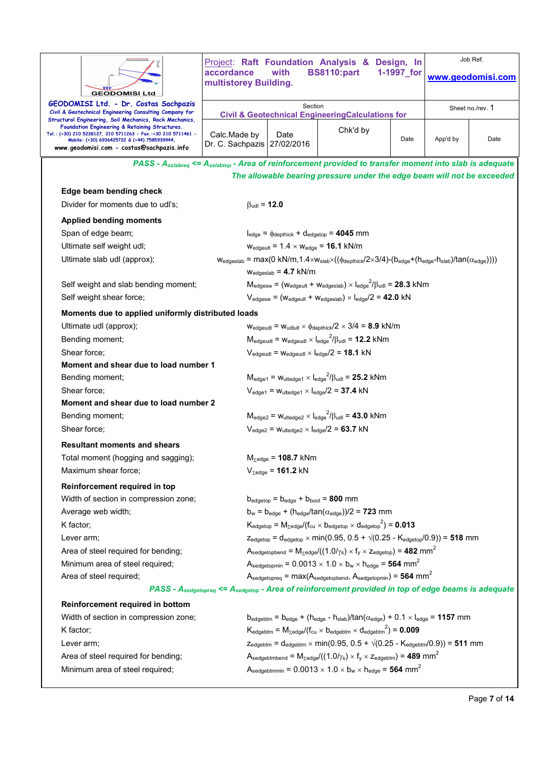| L                                                                                                                                                                                                                          | Project: Raft Foundation Analysis & Design, In                                                      |                                                                       |                                                                                                                                                       |            |                   | Job Ref.         |
|----------------------------------------------------------------------------------------------------------------------------------------------------------------------------------------------------------------------------|-----------------------------------------------------------------------------------------------------|-----------------------------------------------------------------------|-------------------------------------------------------------------------------------------------------------------------------------------------------|------------|-------------------|------------------|
| <b>GEODOMISI Ltd</b>                                                                                                                                                                                                       | accordance<br>multistorey Building.                                                                 | with                                                                  | <b>BS8110:part</b>                                                                                                                                    | 1-1997_for | www.geodomisi.com |                  |
| GEODOMISI Ltd. - Dr. Costas Sachpazis<br>Civil & Geotechnical Engineering Consulting Company for                                                                                                                           |                                                                                                     | Section                                                               | <b>Civil &amp; Geotechnical EngineeringCalculations for</b>                                                                                           |            |                   | Sheet no./rev. 1 |
| Structural Engineering, Soil Mechanics, Rock Mechanics,<br>Foundation Engineering & Retaining Structures.<br>Tel.: (+30) 210 5238127, 210 5711263 - Fax.:+30 210 5711461 -<br>Mobile: (+30) 6936425722 & (+44) 7585939944, | Calc.Made by                                                                                        | Date                                                                  | Chk'd by                                                                                                                                              | Date       | App'd by          | Date             |
| www.geodomisi.com - costas@sachpazis.info                                                                                                                                                                                  | Dr. C. Sachpazis   27/02/2016                                                                       |                                                                       |                                                                                                                                                       |            |                   |                  |
| PASS - Asslabreq <= Asslabtop - Area of reinforcement provided to transfer moment into slab is adequate                                                                                                                    |                                                                                                     |                                                                       | The allowable bearing pressure under the edge beam will not be exceeded                                                                               |            |                   |                  |
| Edge beam bending check                                                                                                                                                                                                    |                                                                                                     |                                                                       |                                                                                                                                                       |            |                   |                  |
| Divider for moments due to udl's;                                                                                                                                                                                          | $\beta_{\text{udl}} = 12.0$                                                                         |                                                                       |                                                                                                                                                       |            |                   |                  |
| <b>Applied bending moments</b>                                                                                                                                                                                             |                                                                                                     |                                                                       |                                                                                                                                                       |            |                   |                  |
| Span of edge beam;                                                                                                                                                                                                         |                                                                                                     |                                                                       | $I_{edge} = \phi_{depthick} + d_{edgetop} = 4045$ mm                                                                                                  |            |                   |                  |
| Ultimate self weight udl;                                                                                                                                                                                                  |                                                                                                     | $w_{\text{edgeult}} = 1.4 \times w_{\text{edge}} = 16.1 \text{ kN/m}$ |                                                                                                                                                       |            |                   |                  |
| Ultimate slab udl (approx);                                                                                                                                                                                                |                                                                                                     |                                                                       | $w_{edgeslab} = max(0 kN/m, 1.4 \times w_{slab} \times ((\phi_{depthick}/2 \times 3/4) - (b_{edge} + (h_{edge} - h_{slab})/tan(\alpha_{edge}))))$     |            |                   |                  |
|                                                                                                                                                                                                                            |                                                                                                     | $W_{\text{edgeslab}} = 4.7$ kN/m                                      |                                                                                                                                                       |            |                   |                  |
| Self weight and slab bending moment;                                                                                                                                                                                       |                                                                                                     |                                                                       | $M_{\text{edgesw}} = (W_{\text{edgeult}} + W_{\text{edgeslab}}) \times I_{\text{edge}}^2 / \beta_{\text{udl}} = 28.3$ kNm                             |            |                   |                  |
| Self weight shear force;                                                                                                                                                                                                   |                                                                                                     |                                                                       | $V_{\text{edgesw}} = (W_{\text{edgeult}} + W_{\text{edgeslab}}) \times I_{\text{edge}}/2 = 42.0$ kN                                                   |            |                   |                  |
| Moments due to applied uniformly distributed loads                                                                                                                                                                         |                                                                                                     |                                                                       |                                                                                                                                                       |            |                   |                  |
| Ultimate udl (approx);                                                                                                                                                                                                     |                                                                                                     |                                                                       | $W_{\text{edgendl}} = W_{\text{udlult}} \times \phi_{\text{depthick}}/2 \times 3/4 = 8.9$ kN/m                                                        |            |                   |                  |
| Bending moment;                                                                                                                                                                                                            | $M_{\text{edgeual}} = W_{\text{edgeual}} \times I_{\text{edge}}^2 / \beta_{\text{udl}} = 12.2$ kNm  |                                                                       |                                                                                                                                                       |            |                   |                  |
| Shear force:                                                                                                                                                                                                               | $V_{\text{edgeual}}$ = Wedgeudl $\times$ $I_{\text{edge}}/2$ = 18.1 kN                              |                                                                       |                                                                                                                                                       |            |                   |                  |
| Moment and shear due to load number 1                                                                                                                                                                                      |                                                                                                     |                                                                       |                                                                                                                                                       |            |                   |                  |
| Bending moment;                                                                                                                                                                                                            | $M_{edge1} = w_{ultedge1} \times l_{edge2}^{2}/\beta_{udl} = 25.2$ kNm                              |                                                                       |                                                                                                                                                       |            |                   |                  |
| Shear force:                                                                                                                                                                                                               |                                                                                                     |                                                                       | $V_{edge1} = W_{ultedge1} \times I_{edge}/2 = 37.4$ kN                                                                                                |            |                   |                  |
| Moment and shear due to load number 2                                                                                                                                                                                      |                                                                                                     |                                                                       |                                                                                                                                                       |            |                   |                  |
| Bending moment:                                                                                                                                                                                                            |                                                                                                     |                                                                       | $M_{\text{edge2}}$ = $W_{\text{ultedge2}} \times I_{\text{edge}^2}/\beta_{\text{udl}}$ = 43.0 kNm                                                     |            |                   |                  |
| Shear force;                                                                                                                                                                                                               |                                                                                                     |                                                                       | $V_{\text{edge2}}$ = Wultedge2 $\times$ ledge/2 = 63.7 kN                                                                                             |            |                   |                  |
| <b>Resultant moments and shears</b>                                                                                                                                                                                        |                                                                                                     |                                                                       |                                                                                                                                                       |            |                   |                  |
| Total moment (hogging and sagging);                                                                                                                                                                                        |                                                                                                     | $M_{\Sigma$ edge = 108.7 kNm                                          |                                                                                                                                                       |            |                   |                  |
| Maximum shear force;                                                                                                                                                                                                       |                                                                                                     | $V_{\Sigma$ edge = 161.2 kN                                           |                                                                                                                                                       |            |                   |                  |
| Reinforcement required in top                                                                                                                                                                                              |                                                                                                     |                                                                       |                                                                                                                                                       |            |                   |                  |
| Width of section in compression zone;                                                                                                                                                                                      |                                                                                                     | $b_{\text{edge}} = b_{\text{edge}} + b_{\text{boot}} = 800$ mm        |                                                                                                                                                       |            |                   |                  |
| Average web width;                                                                                                                                                                                                         |                                                                                                     |                                                                       | $b_w = b_{edge} + (h_{edge}/tan(\alpha_{edge}))/2 = 723$ mm                                                                                           |            |                   |                  |
| K factor;                                                                                                                                                                                                                  |                                                                                                     |                                                                       | $K_{\text{edgetop}} = M_{\Sigma \text{edge}}/(f_{\text{cu}} \times b_{\text{edgetop}} \times d_{\text{edgetop}}^2) = 0.013$                           |            |                   |                  |
| Lever arm;                                                                                                                                                                                                                 |                                                                                                     |                                                                       | $Z_{\text{edgetop}} = d_{\text{edgetop}} \times \text{min}(0.95, 0.5 + \sqrt{(0.25 - K_{\text{edgetop}}/0.9)}) = 518 \text{ mm}$                      |            |                   |                  |
| Area of steel required for bending;                                                                                                                                                                                        |                                                                                                     |                                                                       | $A_{\text{sedgetophend}} = M_{\text{2edge}} / ((1.0/\gamma_{\text{s}}) \times f_{\text{y}} \times Z_{\text{edgetop}}) = 482 \text{ mm}^2$             |            |                   |                  |
| Minimum area of steel required;                                                                                                                                                                                            | $A_{\text{sedgetopmin}} = 0.0013 \times 1.0 \times b_w \times h_{\text{edge}} = 564 \text{ mm}^2$   |                                                                       |                                                                                                                                                       |            |                   |                  |
| Area of steel required;                                                                                                                                                                                                    | $A_{\text{sedqetopreq}} = \max(A_{\text{sedqetopbend}}, A_{\text{sedqetopmin}}) = 564 \text{ mm}^2$ |                                                                       |                                                                                                                                                       |            |                   |                  |
|                                                                                                                                                                                                                            | PASS - Asedgetopreq <= Asedgetop - Area of reinforcement provided in top of edge beams is adequate  |                                                                       |                                                                                                                                                       |            |                   |                  |
| Reinforcement required in bottom                                                                                                                                                                                           |                                                                                                     |                                                                       |                                                                                                                                                       |            |                   |                  |
| Width of section in compression zone;                                                                                                                                                                                      |                                                                                                     |                                                                       | $b_{\text{edge} +} = b_{\text{edge}} + (h_{\text{edge}} - h_{\text{slab}})/\tan(\alpha_{\text{edge}}) + 0.1 \times l_{\text{edge}} = 1157 \text{ mm}$ |            |                   |                  |
| K factor;                                                                                                                                                                                                                  |                                                                                                     |                                                                       | $K_{\text{edgebtm}} = M_{\Sigma \text{edge}}/(f_{\text{cu}} \times b_{\text{edgebtm}} \times d_{\text{edgebtm}}^2) = 0.009$                           |            |                   |                  |
| Lever arm;                                                                                                                                                                                                                 |                                                                                                     |                                                                       | $z_{\text{edgebtm}} = d_{\text{edgebtm}} \times \text{min}(0.95, 0.5 + \sqrt{(0.25 - K_{\text{edgebtm}}/0.9)}) = 511 \text{ mm}$                      |            |                   |                  |
| Area of steel required for bending;                                                                                                                                                                                        |                                                                                                     |                                                                       | $A_{\text{sedgebtmbend}} = M_{\text{degel}} / ((1.0/\gamma_{\text{s}}) \times f_{\text{y}} \times Z_{\text{edgebtm}}) = 489 \text{ mm}^2$             |            |                   |                  |
| Minimum area of steel required;                                                                                                                                                                                            |                                                                                                     |                                                                       | $A_{\text{sedgebra}} = 0.0013 \times 1.0 \times b_w \times h_{\text{edge}} = 564 \text{ mm}^2$                                                        |            |                   |                  |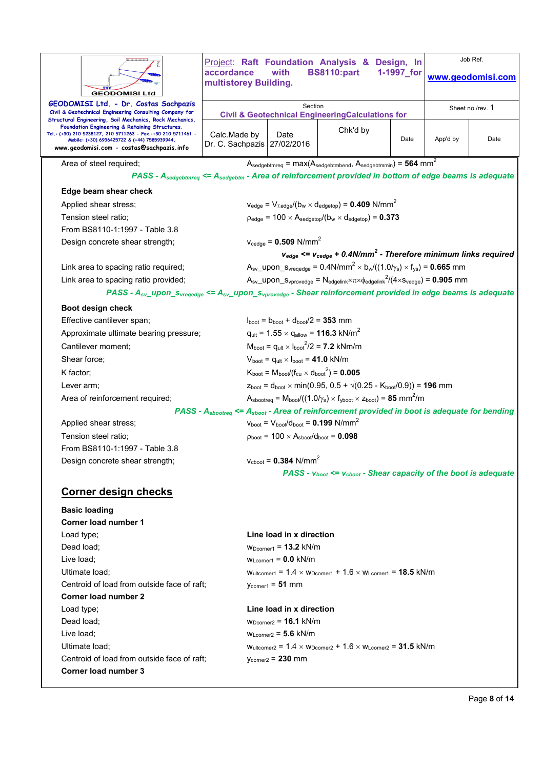| <b>GEODOMISI Ltd</b>                                                                                                                                                                                                                                                    | Project: Raft Foundation Analysis & Design, In<br><b>BS8110:part</b><br>1-1997 for<br>accordance<br>with<br>multistorey Building.                                                 | Job Ref.<br>www.geodomisi.com |  |  |  |  |  |
|-------------------------------------------------------------------------------------------------------------------------------------------------------------------------------------------------------------------------------------------------------------------------|-----------------------------------------------------------------------------------------------------------------------------------------------------------------------------------|-------------------------------|--|--|--|--|--|
| GEODOMISI Ltd. - Dr. Costas Sachpazis<br>Civil & Geotechnical Engineering Consulting Company for                                                                                                                                                                        | Section<br><b>Civil &amp; Geotechnical EngineeringCalculations for</b>                                                                                                            | Sheet no./rev. 1              |  |  |  |  |  |
| Structural Engineering, Soil Mechanics, Rock Mechanics,<br>Foundation Engineering & Retaining Structures.<br>Tel.: (+30) 210 5238127, 210 5711263 - Fax.:+30 210 5711461 -<br>Mobile: (+30) 6936425722 & (+44) 7585939944,<br>www.geodomisi.com - costas@sachpazis.info | Chk'd by<br>Calc.Made by<br>Date<br>Date<br>Dr. C. Sachpazis   27/02/2016                                                                                                         | Date<br>App'd by              |  |  |  |  |  |
| Area of steel required;                                                                                                                                                                                                                                                 | $A_{\text{sedgebtmreq}} = \max(A_{\text{sedgebtmbend}}, A_{\text{sedgebtmmin}}) = 564 \text{ mm}^2$                                                                               |                               |  |  |  |  |  |
|                                                                                                                                                                                                                                                                         | PASS - Asedgebtmreq <= Asedgebtm - Area of reinforcement provided in bottom of edge beams is adequate                                                                             |                               |  |  |  |  |  |
| Edge beam shear check                                                                                                                                                                                                                                                   |                                                                                                                                                                                   |                               |  |  |  |  |  |
| Applied shear stress;                                                                                                                                                                                                                                                   | $V_{\text{edge}} = V_{\text{edge}}/(b_w \times d_{\text{edgetop}}) = 0.409 \text{ N/mm}^2$                                                                                        |                               |  |  |  |  |  |
| Tension steel ratio;                                                                                                                                                                                                                                                    | $\rho_{edge}$ = 100 $\times$ A <sub>sedgetop</sub> /(b <sub>w</sub> $\times$ d <sub>edgetop</sub> ) = <b>0.373</b>                                                                |                               |  |  |  |  |  |
| From BS8110-1:1997 - Table 3.8                                                                                                                                                                                                                                          |                                                                                                                                                                                   |                               |  |  |  |  |  |
| Design concrete shear strength;                                                                                                                                                                                                                                         | $v_{\text{cedge}} = 0.509 \text{ N/mm}^2$<br>$v_{edge}$ <= $v_{reduce}$ + 0.4N/mm <sup>2</sup> - Therefore minimum links required                                                 |                               |  |  |  |  |  |
|                                                                                                                                                                                                                                                                         |                                                                                                                                                                                   |                               |  |  |  |  |  |
| Link area to spacing ratio required;                                                                                                                                                                                                                                    | $A_{sv}\_\text{upon}\_ \mathbf{S}_{v\text{regedge}} = 0.4 \text{N/mm}^2 \times b_w / ((1.0/\gamma_s) \times f_{vs}) = 0.665 \text{ mm}$                                           |                               |  |  |  |  |  |
| Link area to spacing ratio provided;                                                                                                                                                                                                                                    | $A_{sv}\_\text{upon}\_ \mathbf{S}_{\text{vprovedge}} = N_{\text{edgelink}} \times \pi \times \phi_{\text{edgelink}}^2 / (4 \times \mathbf{S}_{\text{vedge}}) = 0.905 \ \text{mm}$ |                               |  |  |  |  |  |
|                                                                                                                                                                                                                                                                         | PASS - A <sub>sv_</sub> upon_s <sub>vreqedge</sub> <= A <sub>sv_</sub> upon_s <sub>vprovedge</sub> - Shear reinforcement provided in edge beams is adequate                       |                               |  |  |  |  |  |
| Boot design check                                                                                                                                                                                                                                                       |                                                                                                                                                                                   |                               |  |  |  |  |  |
| Effective cantilever span;                                                                                                                                                                                                                                              | $I_{boot} = D_{boot} + d_{boot}/2 = 353$ mm                                                                                                                                       |                               |  |  |  |  |  |
| Approximate ultimate bearing pressure;                                                                                                                                                                                                                                  | $q_{ult} = 1.55 \times q_{allow} = 116.3 \text{ kN/m}^2$                                                                                                                          |                               |  |  |  |  |  |
| Cantilever moment:                                                                                                                                                                                                                                                      | $M_{boot} = q_{ult} \times I_{boot}^2/2 = 7.2$ kNm/m                                                                                                                              |                               |  |  |  |  |  |
| Shear force:                                                                                                                                                                                                                                                            | $V_{boot} = q_{ult} \times I_{boot} = 41.0$ kN/m                                                                                                                                  |                               |  |  |  |  |  |
| K factor;                                                                                                                                                                                                                                                               | $K_{boot} = M_{boot}/(f_{cu} \times d_{boot}^2) = 0.005$                                                                                                                          |                               |  |  |  |  |  |
| Lever arm;                                                                                                                                                                                                                                                              | $z_{\text{boot}} = d_{\text{boot}} \times \text{min}(0.95, 0.5 + \sqrt{(0.25 - K_{\text{boot}}/0.9)}) = 196 \text{ mm}$                                                           |                               |  |  |  |  |  |
| Area of reinforcement required;                                                                                                                                                                                                                                         | $A_{\text{sbootreq}} = M_{\text{boot}} / ((1.0/\gamma_s) \times f_{\text{yboot}} \times Z_{\text{boot}}) = 85 \text{ mm}^2/\text{m}$                                              |                               |  |  |  |  |  |
|                                                                                                                                                                                                                                                                         | PASS - Asbootreg <= Asboot - Area of reinforcement provided in boot is adequate for bending                                                                                       |                               |  |  |  |  |  |
| Applied shear stress;                                                                                                                                                                                                                                                   | $V_{boot} = V_{boot}/d_{boot} = 0.199$ N/mm <sup>2</sup>                                                                                                                          |                               |  |  |  |  |  |
| Tension steel ratio;                                                                                                                                                                                                                                                    | $p_{boot} = 100 \times A_{\text{shoot}}/d_{\text{boot}} = 0.098$                                                                                                                  |                               |  |  |  |  |  |
| From BS8110-1:1997 - Table 3.8                                                                                                                                                                                                                                          |                                                                                                                                                                                   |                               |  |  |  |  |  |
| Design concrete shear strength;                                                                                                                                                                                                                                         | $v_{\text{cboot}} = 0.384 \text{ N/mm}^2$                                                                                                                                         |                               |  |  |  |  |  |
|                                                                                                                                                                                                                                                                         | $PASS - V_{boot} \le V_{cboot}$ - Shear capacity of the boot is adequate                                                                                                          |                               |  |  |  |  |  |
| <b>Corner design checks</b>                                                                                                                                                                                                                                             |                                                                                                                                                                                   |                               |  |  |  |  |  |
| <b>Basic loading</b>                                                                                                                                                                                                                                                    |                                                                                                                                                                                   |                               |  |  |  |  |  |
| Corner load number 1                                                                                                                                                                                                                                                    |                                                                                                                                                                                   |                               |  |  |  |  |  |
| Load type;                                                                                                                                                                                                                                                              | Line load in x direction                                                                                                                                                          |                               |  |  |  |  |  |
| Dead load;                                                                                                                                                                                                                                                              | $W_{Dcorner1} = 13.2$ kN/m                                                                                                                                                        |                               |  |  |  |  |  |
| Live load;                                                                                                                                                                                                                                                              | $W_{Lcomer1} = 0.0$ kN/m                                                                                                                                                          |                               |  |  |  |  |  |
| Ultimate load;                                                                                                                                                                                                                                                          | $W_{ultoomer1} = 1.4 \times W_{Dcorner1} + 1.6 \times W_{Lcorner1} = 18.5$ kN/m                                                                                                   |                               |  |  |  |  |  |
| Centroid of load from outside face of raft;                                                                                                                                                                                                                             | $y_{\text{corner1}} = 51$ mm                                                                                                                                                      |                               |  |  |  |  |  |
| <b>Corner load number 2</b>                                                                                                                                                                                                                                             |                                                                                                                                                                                   |                               |  |  |  |  |  |
| Load type;                                                                                                                                                                                                                                                              | Line load in x direction                                                                                                                                                          |                               |  |  |  |  |  |
| Dead load;                                                                                                                                                                                                                                                              | $W_{Dcorner2} = 16.1$ kN/m                                                                                                                                                        |                               |  |  |  |  |  |
| Live load;                                                                                                                                                                                                                                                              | $W_{Lcomer2} = 5.6$ kN/m                                                                                                                                                          |                               |  |  |  |  |  |
| Ultimate load;                                                                                                                                                                                                                                                          | $W_{ultoomer2}$ = 1.4 $\times$ W <sub>Dcomer2</sub> + 1.6 $\times$ W <sub>Lcomer2</sub> = <b>31.5</b> kN/m                                                                        |                               |  |  |  |  |  |
| Centroid of load from outside face of raft;                                                                                                                                                                                                                             | $y_{\text{corner2}} = 230$ mm                                                                                                                                                     |                               |  |  |  |  |  |
| <b>Corner load number 3</b>                                                                                                                                                                                                                                             |                                                                                                                                                                                   |                               |  |  |  |  |  |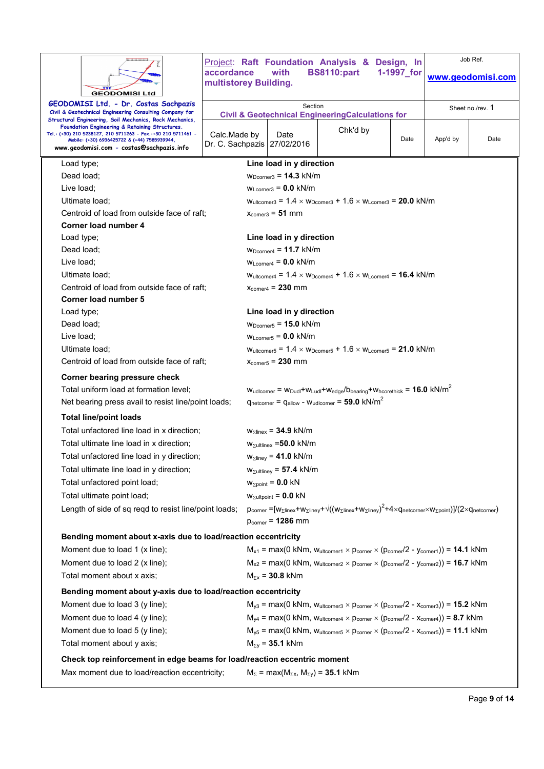| GEODOMISI Ltd. - Dr. Costas Sachpazis<br>Section<br>Sheet no./rev. 1<br>Civil & Geotechnical Engineering Consulting Company for<br><b>Civil &amp; Geotechnical EngineeringCalculations for</b><br>Structural Engineering, Soil Mechanics, Rock Mechanics,<br>Foundation Engineering & Retaining Structures.<br>Chk'd by<br>Tel.: (+30) 210 5238127, 210 5711263 - Fax.:+30 210 5711461 -<br>Calc.Made by<br>Date<br>Date<br>App'd by<br>Date<br>Mobile: (+30) 6936425722 & (+44) 7585939944,<br>Dr. C. Sachpazis   27/02/2016<br>www.geodomisi.com - costas@sachpazis.info<br>Line load in y direction<br>Load type;<br>Dead load;<br>$W_{\text{Dcorner3}} = 14.3 \text{ kN/m}$<br>Live load:<br>$W_{Lconer3} = 0.0$ kN/m<br>Ultimate load:<br>$W_{ultoomerg}$ = 1.4 $\times$ W <sub>Dcorner</sub> <sub>3</sub> + 1.6 $\times$ W <sub>Lcorner</sub> <sub>3</sub> = 20.0 kN/m<br>Centroid of load from outside face of raft;<br>$x_{\text{corner}} = 51 \text{ mm}$<br>Corner load number 4<br>Line load in y direction<br>Load type;<br>Dead load;<br>$W_{Dcorner4} = 11.7$ kN/m<br>Live load;<br>$WL$ comer <sub>4</sub> = $0.0$ kN/m<br>Ultimate load;<br>$W_{ultoomera}$ = 1.4 $\times$ $W_{Dcomera}$ + 1.6 $\times$ $W_{Lcomera}$ = 16.4 kN/m<br>Centroid of load from outside face of raft:<br>$x_{\text{corner4}} = 230$ mm<br>Corner load number 5<br>Line load in y direction<br>Load type;<br>Dead load;<br>$W_{Dcorner5} = 15.0$ kN/m<br>Live load:<br>$W_{Lcomers} = 0.0$ kN/m<br>$W_{ultoomers}$ = 1.4 $\times$ W <sub>Dcorner5</sub> + 1.6 $\times$ W <sub>Lcorner5</sub> = 21.0 kN/m<br>Ultimate load;<br>Centroid of load from outside face of raft;<br>$x_{\text{corner}5} = 230$ mm<br>Corner bearing pressure check<br>Total uniform load at formation level;<br>$W_{\text{udlcorner}} = W_{\text{Dudl}} + W_{\text{Ludl}} + W_{\text{edge}} / B_{\text{bearing}} + W_{\text{hcorethick}} = 16.0 \text{ kN/m}^2$<br>$q_{\text{netcomer}} = q_{\text{allow}} - w_{\text{udlcomer}} = 59.0 \text{ kN/m}^2$<br>Net bearing press avail to resist line/point loads;<br><b>Total line/point loads</b><br>Total unfactored line load in x direction;<br>$W_{\Sigma \text{linear}} = 34.9 \text{ kN/m}$<br>Total ultimate line load in x direction:<br>$W_{\Sigma}$ ultlinex =50.0 kN/m<br>Total unfactored line load in y direction;<br>$WΣliney = 41.0$ kN/m<br>Total ultimate line load in y direction;<br>$W_{\Sigma}$ ultliney = 57.4 kN/m<br>$w_{\Sigma \text{point}} = 0.0 \text{ kN}$<br>Total unfactored point load;<br>Total ultimate point load;<br>$W_{\Sigma}$ ultpoint = 0.0 kN<br>$p_{\text{corner}} = [w_{\text{2linex}} + w_{\text{2liney}} + \sqrt{((w_{\text{2linex}} + w_{\text{2liney}})^2 + 4 \times q_{\text{netcorner}} \times w_{\text{2point}})}]/(2 \times q_{\text{netcorner}})$<br>Length of side of sq regd to resist line/point loads;<br>$p_{corner} = 1286$ mm<br>Bending moment about x-axis due to load/reaction eccentricity<br>Moment due to load 1 (x line);<br>$M_{x1}$ = max(0 kNm, $W_{ultoomer1} \times p_{corner} \times (p_{corner}/2 - y_{corner1}))$ = 14.1 kNm<br>Moment due to load 2 (x line);<br>$M_{x2}$ = max(0 kNm, $W_{ultoomer2}$ $\times$ $p_{corner}$ $\times$ ( $p_{corner}/2$ - $y_{corner2})$ ) = 16.7 kNm<br>$M_{\Sigma X}$ = 30.8 kNm<br>Total moment about x axis;<br>Bending moment about y-axis due to load/reaction eccentricity<br>Moment due to load 3 (y line);<br>$M_{y3}$ = max(0 kNm, $W_{ultoomera} \times p_{corner} \times (p_{corner}/2 - x_{corner})$ ) = 15.2 kNm<br>Moment due to load 4 (y line);<br>$M_{y4}$ = max(0 kNm, $W_{ultoomera} \times p_{corner} \times (p_{corner}/2 - x_{corner})$ ) = 8.7 kNm<br>$M_{y5}$ = max(0 kNm, $W_{ultoomers} \times p_{corner} \times (p_{corner}/2 - x_{corner5})$ ) = 11.1 kNm<br>Moment due to load 5 (y line);<br>$M_{\Sigma V}$ = 35.1 kNm<br>Total moment about y axis;<br>Check top reinforcement in edge beams for load/reaction eccentric moment | <b>GEODOMISI Ltd</b>                          | accordance | Job Ref.<br><b>Project: Raft Foundation Analysis &amp; Design, In</b><br>with<br><b>BS8110:part</b><br>1-1997 for<br>www.geodomisi.com<br>multistorey Building. |  |  |  |  |  |  |  |  |
|---------------------------------------------------------------------------------------------------------------------------------------------------------------------------------------------------------------------------------------------------------------------------------------------------------------------------------------------------------------------------------------------------------------------------------------------------------------------------------------------------------------------------------------------------------------------------------------------------------------------------------------------------------------------------------------------------------------------------------------------------------------------------------------------------------------------------------------------------------------------------------------------------------------------------------------------------------------------------------------------------------------------------------------------------------------------------------------------------------------------------------------------------------------------------------------------------------------------------------------------------------------------------------------------------------------------------------------------------------------------------------------------------------------------------------------------------------------------------------------------------------------------------------------------------------------------------------------------------------------------------------------------------------------------------------------------------------------------------------------------------------------------------------------------------------------------------------------------------------------------------------------------------------------------------------------------------------------------------------------------------------------------------------------------------------------------------------------------------------------------------------------------------------------------------------------------------------------------------------------------------------------------------------------------------------------------------------------------------------------------------------------------------------------------------------------------------------------------------------------------------------------------------------------------------------------------------------------------------------------------------------------------------------------------------------------------------------------------------------------------------------------------------------------------------------------------------------------------------------------------------------------------------------------------------------------------------------------------------------------------------------------------------------------------------------------------------------------------------------------------------------------------------------------------------------------------------------------------------------------------------------------------------------------------------------------------------------------------------------------------------------------------------------------------------------------------------------------------------------------------------------------------------------------------------------------------------------------------------------------------------------------------------------------------------------------------------------------------------------------------------------------------------------------------------------------------------------------------------------------------------------------------------------------------------------------------------------------------------------------------|-----------------------------------------------|------------|-----------------------------------------------------------------------------------------------------------------------------------------------------------------|--|--|--|--|--|--|--|--|
|                                                                                                                                                                                                                                                                                                                                                                                                                                                                                                                                                                                                                                                                                                                                                                                                                                                                                                                                                                                                                                                                                                                                                                                                                                                                                                                                                                                                                                                                                                                                                                                                                                                                                                                                                                                                                                                                                                                                                                                                                                                                                                                                                                                                                                                                                                                                                                                                                                                                                                                                                                                                                                                                                                                                                                                                                                                                                                                                                                                                                                                                                                                                                                                                                                                                                                                                                                                                                                                                                                                                                                                                                                                                                                                                                                                                                                                                                                                                                                                             |                                               |            |                                                                                                                                                                 |  |  |  |  |  |  |  |  |
|                                                                                                                                                                                                                                                                                                                                                                                                                                                                                                                                                                                                                                                                                                                                                                                                                                                                                                                                                                                                                                                                                                                                                                                                                                                                                                                                                                                                                                                                                                                                                                                                                                                                                                                                                                                                                                                                                                                                                                                                                                                                                                                                                                                                                                                                                                                                                                                                                                                                                                                                                                                                                                                                                                                                                                                                                                                                                                                                                                                                                                                                                                                                                                                                                                                                                                                                                                                                                                                                                                                                                                                                                                                                                                                                                                                                                                                                                                                                                                                             |                                               |            |                                                                                                                                                                 |  |  |  |  |  |  |  |  |
|                                                                                                                                                                                                                                                                                                                                                                                                                                                                                                                                                                                                                                                                                                                                                                                                                                                                                                                                                                                                                                                                                                                                                                                                                                                                                                                                                                                                                                                                                                                                                                                                                                                                                                                                                                                                                                                                                                                                                                                                                                                                                                                                                                                                                                                                                                                                                                                                                                                                                                                                                                                                                                                                                                                                                                                                                                                                                                                                                                                                                                                                                                                                                                                                                                                                                                                                                                                                                                                                                                                                                                                                                                                                                                                                                                                                                                                                                                                                                                                             |                                               |            |                                                                                                                                                                 |  |  |  |  |  |  |  |  |
|                                                                                                                                                                                                                                                                                                                                                                                                                                                                                                                                                                                                                                                                                                                                                                                                                                                                                                                                                                                                                                                                                                                                                                                                                                                                                                                                                                                                                                                                                                                                                                                                                                                                                                                                                                                                                                                                                                                                                                                                                                                                                                                                                                                                                                                                                                                                                                                                                                                                                                                                                                                                                                                                                                                                                                                                                                                                                                                                                                                                                                                                                                                                                                                                                                                                                                                                                                                                                                                                                                                                                                                                                                                                                                                                                                                                                                                                                                                                                                                             |                                               |            |                                                                                                                                                                 |  |  |  |  |  |  |  |  |
|                                                                                                                                                                                                                                                                                                                                                                                                                                                                                                                                                                                                                                                                                                                                                                                                                                                                                                                                                                                                                                                                                                                                                                                                                                                                                                                                                                                                                                                                                                                                                                                                                                                                                                                                                                                                                                                                                                                                                                                                                                                                                                                                                                                                                                                                                                                                                                                                                                                                                                                                                                                                                                                                                                                                                                                                                                                                                                                                                                                                                                                                                                                                                                                                                                                                                                                                                                                                                                                                                                                                                                                                                                                                                                                                                                                                                                                                                                                                                                                             |                                               |            |                                                                                                                                                                 |  |  |  |  |  |  |  |  |
|                                                                                                                                                                                                                                                                                                                                                                                                                                                                                                                                                                                                                                                                                                                                                                                                                                                                                                                                                                                                                                                                                                                                                                                                                                                                                                                                                                                                                                                                                                                                                                                                                                                                                                                                                                                                                                                                                                                                                                                                                                                                                                                                                                                                                                                                                                                                                                                                                                                                                                                                                                                                                                                                                                                                                                                                                                                                                                                                                                                                                                                                                                                                                                                                                                                                                                                                                                                                                                                                                                                                                                                                                                                                                                                                                                                                                                                                                                                                                                                             |                                               |            |                                                                                                                                                                 |  |  |  |  |  |  |  |  |
|                                                                                                                                                                                                                                                                                                                                                                                                                                                                                                                                                                                                                                                                                                                                                                                                                                                                                                                                                                                                                                                                                                                                                                                                                                                                                                                                                                                                                                                                                                                                                                                                                                                                                                                                                                                                                                                                                                                                                                                                                                                                                                                                                                                                                                                                                                                                                                                                                                                                                                                                                                                                                                                                                                                                                                                                                                                                                                                                                                                                                                                                                                                                                                                                                                                                                                                                                                                                                                                                                                                                                                                                                                                                                                                                                                                                                                                                                                                                                                                             |                                               |            |                                                                                                                                                                 |  |  |  |  |  |  |  |  |
|                                                                                                                                                                                                                                                                                                                                                                                                                                                                                                                                                                                                                                                                                                                                                                                                                                                                                                                                                                                                                                                                                                                                                                                                                                                                                                                                                                                                                                                                                                                                                                                                                                                                                                                                                                                                                                                                                                                                                                                                                                                                                                                                                                                                                                                                                                                                                                                                                                                                                                                                                                                                                                                                                                                                                                                                                                                                                                                                                                                                                                                                                                                                                                                                                                                                                                                                                                                                                                                                                                                                                                                                                                                                                                                                                                                                                                                                                                                                                                                             |                                               |            |                                                                                                                                                                 |  |  |  |  |  |  |  |  |
|                                                                                                                                                                                                                                                                                                                                                                                                                                                                                                                                                                                                                                                                                                                                                                                                                                                                                                                                                                                                                                                                                                                                                                                                                                                                                                                                                                                                                                                                                                                                                                                                                                                                                                                                                                                                                                                                                                                                                                                                                                                                                                                                                                                                                                                                                                                                                                                                                                                                                                                                                                                                                                                                                                                                                                                                                                                                                                                                                                                                                                                                                                                                                                                                                                                                                                                                                                                                                                                                                                                                                                                                                                                                                                                                                                                                                                                                                                                                                                                             |                                               |            |                                                                                                                                                                 |  |  |  |  |  |  |  |  |
|                                                                                                                                                                                                                                                                                                                                                                                                                                                                                                                                                                                                                                                                                                                                                                                                                                                                                                                                                                                                                                                                                                                                                                                                                                                                                                                                                                                                                                                                                                                                                                                                                                                                                                                                                                                                                                                                                                                                                                                                                                                                                                                                                                                                                                                                                                                                                                                                                                                                                                                                                                                                                                                                                                                                                                                                                                                                                                                                                                                                                                                                                                                                                                                                                                                                                                                                                                                                                                                                                                                                                                                                                                                                                                                                                                                                                                                                                                                                                                                             |                                               |            |                                                                                                                                                                 |  |  |  |  |  |  |  |  |
|                                                                                                                                                                                                                                                                                                                                                                                                                                                                                                                                                                                                                                                                                                                                                                                                                                                                                                                                                                                                                                                                                                                                                                                                                                                                                                                                                                                                                                                                                                                                                                                                                                                                                                                                                                                                                                                                                                                                                                                                                                                                                                                                                                                                                                                                                                                                                                                                                                                                                                                                                                                                                                                                                                                                                                                                                                                                                                                                                                                                                                                                                                                                                                                                                                                                                                                                                                                                                                                                                                                                                                                                                                                                                                                                                                                                                                                                                                                                                                                             |                                               |            |                                                                                                                                                                 |  |  |  |  |  |  |  |  |
|                                                                                                                                                                                                                                                                                                                                                                                                                                                                                                                                                                                                                                                                                                                                                                                                                                                                                                                                                                                                                                                                                                                                                                                                                                                                                                                                                                                                                                                                                                                                                                                                                                                                                                                                                                                                                                                                                                                                                                                                                                                                                                                                                                                                                                                                                                                                                                                                                                                                                                                                                                                                                                                                                                                                                                                                                                                                                                                                                                                                                                                                                                                                                                                                                                                                                                                                                                                                                                                                                                                                                                                                                                                                                                                                                                                                                                                                                                                                                                                             |                                               |            |                                                                                                                                                                 |  |  |  |  |  |  |  |  |
|                                                                                                                                                                                                                                                                                                                                                                                                                                                                                                                                                                                                                                                                                                                                                                                                                                                                                                                                                                                                                                                                                                                                                                                                                                                                                                                                                                                                                                                                                                                                                                                                                                                                                                                                                                                                                                                                                                                                                                                                                                                                                                                                                                                                                                                                                                                                                                                                                                                                                                                                                                                                                                                                                                                                                                                                                                                                                                                                                                                                                                                                                                                                                                                                                                                                                                                                                                                                                                                                                                                                                                                                                                                                                                                                                                                                                                                                                                                                                                                             |                                               |            |                                                                                                                                                                 |  |  |  |  |  |  |  |  |
|                                                                                                                                                                                                                                                                                                                                                                                                                                                                                                                                                                                                                                                                                                                                                                                                                                                                                                                                                                                                                                                                                                                                                                                                                                                                                                                                                                                                                                                                                                                                                                                                                                                                                                                                                                                                                                                                                                                                                                                                                                                                                                                                                                                                                                                                                                                                                                                                                                                                                                                                                                                                                                                                                                                                                                                                                                                                                                                                                                                                                                                                                                                                                                                                                                                                                                                                                                                                                                                                                                                                                                                                                                                                                                                                                                                                                                                                                                                                                                                             |                                               |            |                                                                                                                                                                 |  |  |  |  |  |  |  |  |
|                                                                                                                                                                                                                                                                                                                                                                                                                                                                                                                                                                                                                                                                                                                                                                                                                                                                                                                                                                                                                                                                                                                                                                                                                                                                                                                                                                                                                                                                                                                                                                                                                                                                                                                                                                                                                                                                                                                                                                                                                                                                                                                                                                                                                                                                                                                                                                                                                                                                                                                                                                                                                                                                                                                                                                                                                                                                                                                                                                                                                                                                                                                                                                                                                                                                                                                                                                                                                                                                                                                                                                                                                                                                                                                                                                                                                                                                                                                                                                                             |                                               |            |                                                                                                                                                                 |  |  |  |  |  |  |  |  |
|                                                                                                                                                                                                                                                                                                                                                                                                                                                                                                                                                                                                                                                                                                                                                                                                                                                                                                                                                                                                                                                                                                                                                                                                                                                                                                                                                                                                                                                                                                                                                                                                                                                                                                                                                                                                                                                                                                                                                                                                                                                                                                                                                                                                                                                                                                                                                                                                                                                                                                                                                                                                                                                                                                                                                                                                                                                                                                                                                                                                                                                                                                                                                                                                                                                                                                                                                                                                                                                                                                                                                                                                                                                                                                                                                                                                                                                                                                                                                                                             |                                               |            |                                                                                                                                                                 |  |  |  |  |  |  |  |  |
|                                                                                                                                                                                                                                                                                                                                                                                                                                                                                                                                                                                                                                                                                                                                                                                                                                                                                                                                                                                                                                                                                                                                                                                                                                                                                                                                                                                                                                                                                                                                                                                                                                                                                                                                                                                                                                                                                                                                                                                                                                                                                                                                                                                                                                                                                                                                                                                                                                                                                                                                                                                                                                                                                                                                                                                                                                                                                                                                                                                                                                                                                                                                                                                                                                                                                                                                                                                                                                                                                                                                                                                                                                                                                                                                                                                                                                                                                                                                                                                             |                                               |            |                                                                                                                                                                 |  |  |  |  |  |  |  |  |
|                                                                                                                                                                                                                                                                                                                                                                                                                                                                                                                                                                                                                                                                                                                                                                                                                                                                                                                                                                                                                                                                                                                                                                                                                                                                                                                                                                                                                                                                                                                                                                                                                                                                                                                                                                                                                                                                                                                                                                                                                                                                                                                                                                                                                                                                                                                                                                                                                                                                                                                                                                                                                                                                                                                                                                                                                                                                                                                                                                                                                                                                                                                                                                                                                                                                                                                                                                                                                                                                                                                                                                                                                                                                                                                                                                                                                                                                                                                                                                                             |                                               |            |                                                                                                                                                                 |  |  |  |  |  |  |  |  |
|                                                                                                                                                                                                                                                                                                                                                                                                                                                                                                                                                                                                                                                                                                                                                                                                                                                                                                                                                                                                                                                                                                                                                                                                                                                                                                                                                                                                                                                                                                                                                                                                                                                                                                                                                                                                                                                                                                                                                                                                                                                                                                                                                                                                                                                                                                                                                                                                                                                                                                                                                                                                                                                                                                                                                                                                                                                                                                                                                                                                                                                                                                                                                                                                                                                                                                                                                                                                                                                                                                                                                                                                                                                                                                                                                                                                                                                                                                                                                                                             |                                               |            |                                                                                                                                                                 |  |  |  |  |  |  |  |  |
|                                                                                                                                                                                                                                                                                                                                                                                                                                                                                                                                                                                                                                                                                                                                                                                                                                                                                                                                                                                                                                                                                                                                                                                                                                                                                                                                                                                                                                                                                                                                                                                                                                                                                                                                                                                                                                                                                                                                                                                                                                                                                                                                                                                                                                                                                                                                                                                                                                                                                                                                                                                                                                                                                                                                                                                                                                                                                                                                                                                                                                                                                                                                                                                                                                                                                                                                                                                                                                                                                                                                                                                                                                                                                                                                                                                                                                                                                                                                                                                             |                                               |            |                                                                                                                                                                 |  |  |  |  |  |  |  |  |
|                                                                                                                                                                                                                                                                                                                                                                                                                                                                                                                                                                                                                                                                                                                                                                                                                                                                                                                                                                                                                                                                                                                                                                                                                                                                                                                                                                                                                                                                                                                                                                                                                                                                                                                                                                                                                                                                                                                                                                                                                                                                                                                                                                                                                                                                                                                                                                                                                                                                                                                                                                                                                                                                                                                                                                                                                                                                                                                                                                                                                                                                                                                                                                                                                                                                                                                                                                                                                                                                                                                                                                                                                                                                                                                                                                                                                                                                                                                                                                                             |                                               |            |                                                                                                                                                                 |  |  |  |  |  |  |  |  |
|                                                                                                                                                                                                                                                                                                                                                                                                                                                                                                                                                                                                                                                                                                                                                                                                                                                                                                                                                                                                                                                                                                                                                                                                                                                                                                                                                                                                                                                                                                                                                                                                                                                                                                                                                                                                                                                                                                                                                                                                                                                                                                                                                                                                                                                                                                                                                                                                                                                                                                                                                                                                                                                                                                                                                                                                                                                                                                                                                                                                                                                                                                                                                                                                                                                                                                                                                                                                                                                                                                                                                                                                                                                                                                                                                                                                                                                                                                                                                                                             |                                               |            |                                                                                                                                                                 |  |  |  |  |  |  |  |  |
|                                                                                                                                                                                                                                                                                                                                                                                                                                                                                                                                                                                                                                                                                                                                                                                                                                                                                                                                                                                                                                                                                                                                                                                                                                                                                                                                                                                                                                                                                                                                                                                                                                                                                                                                                                                                                                                                                                                                                                                                                                                                                                                                                                                                                                                                                                                                                                                                                                                                                                                                                                                                                                                                                                                                                                                                                                                                                                                                                                                                                                                                                                                                                                                                                                                                                                                                                                                                                                                                                                                                                                                                                                                                                                                                                                                                                                                                                                                                                                                             |                                               |            |                                                                                                                                                                 |  |  |  |  |  |  |  |  |
|                                                                                                                                                                                                                                                                                                                                                                                                                                                                                                                                                                                                                                                                                                                                                                                                                                                                                                                                                                                                                                                                                                                                                                                                                                                                                                                                                                                                                                                                                                                                                                                                                                                                                                                                                                                                                                                                                                                                                                                                                                                                                                                                                                                                                                                                                                                                                                                                                                                                                                                                                                                                                                                                                                                                                                                                                                                                                                                                                                                                                                                                                                                                                                                                                                                                                                                                                                                                                                                                                                                                                                                                                                                                                                                                                                                                                                                                                                                                                                                             |                                               |            |                                                                                                                                                                 |  |  |  |  |  |  |  |  |
|                                                                                                                                                                                                                                                                                                                                                                                                                                                                                                                                                                                                                                                                                                                                                                                                                                                                                                                                                                                                                                                                                                                                                                                                                                                                                                                                                                                                                                                                                                                                                                                                                                                                                                                                                                                                                                                                                                                                                                                                                                                                                                                                                                                                                                                                                                                                                                                                                                                                                                                                                                                                                                                                                                                                                                                                                                                                                                                                                                                                                                                                                                                                                                                                                                                                                                                                                                                                                                                                                                                                                                                                                                                                                                                                                                                                                                                                                                                                                                                             |                                               |            |                                                                                                                                                                 |  |  |  |  |  |  |  |  |
|                                                                                                                                                                                                                                                                                                                                                                                                                                                                                                                                                                                                                                                                                                                                                                                                                                                                                                                                                                                                                                                                                                                                                                                                                                                                                                                                                                                                                                                                                                                                                                                                                                                                                                                                                                                                                                                                                                                                                                                                                                                                                                                                                                                                                                                                                                                                                                                                                                                                                                                                                                                                                                                                                                                                                                                                                                                                                                                                                                                                                                                                                                                                                                                                                                                                                                                                                                                                                                                                                                                                                                                                                                                                                                                                                                                                                                                                                                                                                                                             |                                               |            |                                                                                                                                                                 |  |  |  |  |  |  |  |  |
|                                                                                                                                                                                                                                                                                                                                                                                                                                                                                                                                                                                                                                                                                                                                                                                                                                                                                                                                                                                                                                                                                                                                                                                                                                                                                                                                                                                                                                                                                                                                                                                                                                                                                                                                                                                                                                                                                                                                                                                                                                                                                                                                                                                                                                                                                                                                                                                                                                                                                                                                                                                                                                                                                                                                                                                                                                                                                                                                                                                                                                                                                                                                                                                                                                                                                                                                                                                                                                                                                                                                                                                                                                                                                                                                                                                                                                                                                                                                                                                             |                                               |            |                                                                                                                                                                 |  |  |  |  |  |  |  |  |
|                                                                                                                                                                                                                                                                                                                                                                                                                                                                                                                                                                                                                                                                                                                                                                                                                                                                                                                                                                                                                                                                                                                                                                                                                                                                                                                                                                                                                                                                                                                                                                                                                                                                                                                                                                                                                                                                                                                                                                                                                                                                                                                                                                                                                                                                                                                                                                                                                                                                                                                                                                                                                                                                                                                                                                                                                                                                                                                                                                                                                                                                                                                                                                                                                                                                                                                                                                                                                                                                                                                                                                                                                                                                                                                                                                                                                                                                                                                                                                                             |                                               |            |                                                                                                                                                                 |  |  |  |  |  |  |  |  |
|                                                                                                                                                                                                                                                                                                                                                                                                                                                                                                                                                                                                                                                                                                                                                                                                                                                                                                                                                                                                                                                                                                                                                                                                                                                                                                                                                                                                                                                                                                                                                                                                                                                                                                                                                                                                                                                                                                                                                                                                                                                                                                                                                                                                                                                                                                                                                                                                                                                                                                                                                                                                                                                                                                                                                                                                                                                                                                                                                                                                                                                                                                                                                                                                                                                                                                                                                                                                                                                                                                                                                                                                                                                                                                                                                                                                                                                                                                                                                                                             |                                               |            |                                                                                                                                                                 |  |  |  |  |  |  |  |  |
|                                                                                                                                                                                                                                                                                                                                                                                                                                                                                                                                                                                                                                                                                                                                                                                                                                                                                                                                                                                                                                                                                                                                                                                                                                                                                                                                                                                                                                                                                                                                                                                                                                                                                                                                                                                                                                                                                                                                                                                                                                                                                                                                                                                                                                                                                                                                                                                                                                                                                                                                                                                                                                                                                                                                                                                                                                                                                                                                                                                                                                                                                                                                                                                                                                                                                                                                                                                                                                                                                                                                                                                                                                                                                                                                                                                                                                                                                                                                                                                             |                                               |            |                                                                                                                                                                 |  |  |  |  |  |  |  |  |
|                                                                                                                                                                                                                                                                                                                                                                                                                                                                                                                                                                                                                                                                                                                                                                                                                                                                                                                                                                                                                                                                                                                                                                                                                                                                                                                                                                                                                                                                                                                                                                                                                                                                                                                                                                                                                                                                                                                                                                                                                                                                                                                                                                                                                                                                                                                                                                                                                                                                                                                                                                                                                                                                                                                                                                                                                                                                                                                                                                                                                                                                                                                                                                                                                                                                                                                                                                                                                                                                                                                                                                                                                                                                                                                                                                                                                                                                                                                                                                                             |                                               |            |                                                                                                                                                                 |  |  |  |  |  |  |  |  |
|                                                                                                                                                                                                                                                                                                                                                                                                                                                                                                                                                                                                                                                                                                                                                                                                                                                                                                                                                                                                                                                                                                                                                                                                                                                                                                                                                                                                                                                                                                                                                                                                                                                                                                                                                                                                                                                                                                                                                                                                                                                                                                                                                                                                                                                                                                                                                                                                                                                                                                                                                                                                                                                                                                                                                                                                                                                                                                                                                                                                                                                                                                                                                                                                                                                                                                                                                                                                                                                                                                                                                                                                                                                                                                                                                                                                                                                                                                                                                                                             |                                               |            |                                                                                                                                                                 |  |  |  |  |  |  |  |  |
|                                                                                                                                                                                                                                                                                                                                                                                                                                                                                                                                                                                                                                                                                                                                                                                                                                                                                                                                                                                                                                                                                                                                                                                                                                                                                                                                                                                                                                                                                                                                                                                                                                                                                                                                                                                                                                                                                                                                                                                                                                                                                                                                                                                                                                                                                                                                                                                                                                                                                                                                                                                                                                                                                                                                                                                                                                                                                                                                                                                                                                                                                                                                                                                                                                                                                                                                                                                                                                                                                                                                                                                                                                                                                                                                                                                                                                                                                                                                                                                             |                                               |            |                                                                                                                                                                 |  |  |  |  |  |  |  |  |
|                                                                                                                                                                                                                                                                                                                                                                                                                                                                                                                                                                                                                                                                                                                                                                                                                                                                                                                                                                                                                                                                                                                                                                                                                                                                                                                                                                                                                                                                                                                                                                                                                                                                                                                                                                                                                                                                                                                                                                                                                                                                                                                                                                                                                                                                                                                                                                                                                                                                                                                                                                                                                                                                                                                                                                                                                                                                                                                                                                                                                                                                                                                                                                                                                                                                                                                                                                                                                                                                                                                                                                                                                                                                                                                                                                                                                                                                                                                                                                                             |                                               |            |                                                                                                                                                                 |  |  |  |  |  |  |  |  |
|                                                                                                                                                                                                                                                                                                                                                                                                                                                                                                                                                                                                                                                                                                                                                                                                                                                                                                                                                                                                                                                                                                                                                                                                                                                                                                                                                                                                                                                                                                                                                                                                                                                                                                                                                                                                                                                                                                                                                                                                                                                                                                                                                                                                                                                                                                                                                                                                                                                                                                                                                                                                                                                                                                                                                                                                                                                                                                                                                                                                                                                                                                                                                                                                                                                                                                                                                                                                                                                                                                                                                                                                                                                                                                                                                                                                                                                                                                                                                                                             |                                               |            |                                                                                                                                                                 |  |  |  |  |  |  |  |  |
|                                                                                                                                                                                                                                                                                                                                                                                                                                                                                                                                                                                                                                                                                                                                                                                                                                                                                                                                                                                                                                                                                                                                                                                                                                                                                                                                                                                                                                                                                                                                                                                                                                                                                                                                                                                                                                                                                                                                                                                                                                                                                                                                                                                                                                                                                                                                                                                                                                                                                                                                                                                                                                                                                                                                                                                                                                                                                                                                                                                                                                                                                                                                                                                                                                                                                                                                                                                                                                                                                                                                                                                                                                                                                                                                                                                                                                                                                                                                                                                             |                                               |            |                                                                                                                                                                 |  |  |  |  |  |  |  |  |
|                                                                                                                                                                                                                                                                                                                                                                                                                                                                                                                                                                                                                                                                                                                                                                                                                                                                                                                                                                                                                                                                                                                                                                                                                                                                                                                                                                                                                                                                                                                                                                                                                                                                                                                                                                                                                                                                                                                                                                                                                                                                                                                                                                                                                                                                                                                                                                                                                                                                                                                                                                                                                                                                                                                                                                                                                                                                                                                                                                                                                                                                                                                                                                                                                                                                                                                                                                                                                                                                                                                                                                                                                                                                                                                                                                                                                                                                                                                                                                                             |                                               |            |                                                                                                                                                                 |  |  |  |  |  |  |  |  |
|                                                                                                                                                                                                                                                                                                                                                                                                                                                                                                                                                                                                                                                                                                                                                                                                                                                                                                                                                                                                                                                                                                                                                                                                                                                                                                                                                                                                                                                                                                                                                                                                                                                                                                                                                                                                                                                                                                                                                                                                                                                                                                                                                                                                                                                                                                                                                                                                                                                                                                                                                                                                                                                                                                                                                                                                                                                                                                                                                                                                                                                                                                                                                                                                                                                                                                                                                                                                                                                                                                                                                                                                                                                                                                                                                                                                                                                                                                                                                                                             |                                               |            |                                                                                                                                                                 |  |  |  |  |  |  |  |  |
|                                                                                                                                                                                                                                                                                                                                                                                                                                                                                                                                                                                                                                                                                                                                                                                                                                                                                                                                                                                                                                                                                                                                                                                                                                                                                                                                                                                                                                                                                                                                                                                                                                                                                                                                                                                                                                                                                                                                                                                                                                                                                                                                                                                                                                                                                                                                                                                                                                                                                                                                                                                                                                                                                                                                                                                                                                                                                                                                                                                                                                                                                                                                                                                                                                                                                                                                                                                                                                                                                                                                                                                                                                                                                                                                                                                                                                                                                                                                                                                             |                                               |            |                                                                                                                                                                 |  |  |  |  |  |  |  |  |
|                                                                                                                                                                                                                                                                                                                                                                                                                                                                                                                                                                                                                                                                                                                                                                                                                                                                                                                                                                                                                                                                                                                                                                                                                                                                                                                                                                                                                                                                                                                                                                                                                                                                                                                                                                                                                                                                                                                                                                                                                                                                                                                                                                                                                                                                                                                                                                                                                                                                                                                                                                                                                                                                                                                                                                                                                                                                                                                                                                                                                                                                                                                                                                                                                                                                                                                                                                                                                                                                                                                                                                                                                                                                                                                                                                                                                                                                                                                                                                                             |                                               |            |                                                                                                                                                                 |  |  |  |  |  |  |  |  |
| $M_{\Sigma}$ = max( $M_{\Sigma}$ x, $M_{\Sigma}$ y) = <b>35.1</b> kNm                                                                                                                                                                                                                                                                                                                                                                                                                                                                                                                                                                                                                                                                                                                                                                                                                                                                                                                                                                                                                                                                                                                                                                                                                                                                                                                                                                                                                                                                                                                                                                                                                                                                                                                                                                                                                                                                                                                                                                                                                                                                                                                                                                                                                                                                                                                                                                                                                                                                                                                                                                                                                                                                                                                                                                                                                                                                                                                                                                                                                                                                                                                                                                                                                                                                                                                                                                                                                                                                                                                                                                                                                                                                                                                                                                                                                                                                                                                       | Max moment due to load/reaction eccentricity; |            |                                                                                                                                                                 |  |  |  |  |  |  |  |  |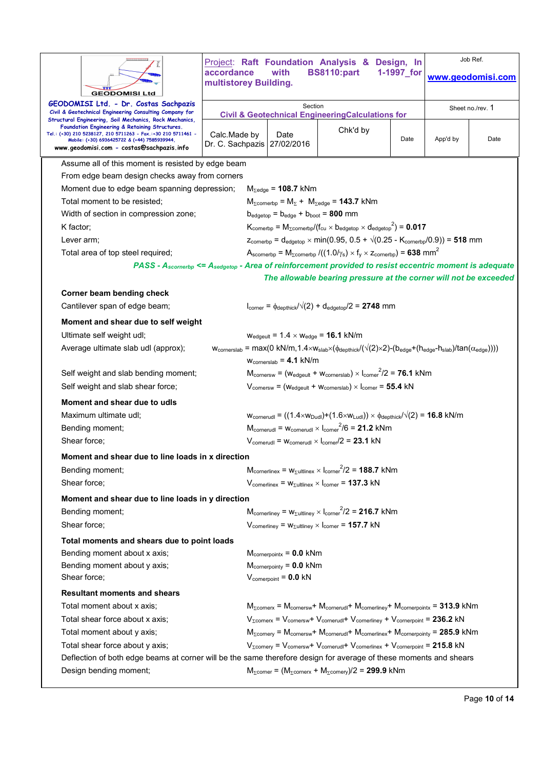|              | <b>GEODOMISI Ltd</b>                                                                                                                                                                                                                                                    | Job Ref.<br>Project: Raft Foundation Analysis & Design, In<br>with<br><b>BS8110:part</b><br>accordance<br>1-1997_for<br>www.geodomisi.com<br>multistorey Building. |  |                                                                    |                                                                                                                                                                                                                           |      |  |                  |
|--------------|-------------------------------------------------------------------------------------------------------------------------------------------------------------------------------------------------------------------------------------------------------------------------|--------------------------------------------------------------------------------------------------------------------------------------------------------------------|--|--------------------------------------------------------------------|---------------------------------------------------------------------------------------------------------------------------------------------------------------------------------------------------------------------------|------|--|------------------|
|              | GEODOMISI Ltd. - Dr. Costas Sachpazis<br>Civil & Geotechnical Engineering Consulting Company for                                                                                                                                                                        |                                                                                                                                                                    |  | Section                                                            | <b>Civil &amp; Geotechnical EngineeringCalculations for</b>                                                                                                                                                               |      |  | Sheet no./rev. 1 |
|              | Structural Engineering, Soil Mechanics, Rock Mechanics,<br>Foundation Engineering & Retaining Structures.<br>Tel.: (+30) 210 5238127, 210 5711263 - Fax.:+30 210 5711461 -<br>Mobile: (+30) 6936425722 & (+44) 7585939944,<br>www.geodomisi.com - costas@sachpazis.info | Calc.Made by                                                                                                                                                       |  | Date<br>Dr. C. Sachpazis   27/02/2016                              | App'd by                                                                                                                                                                                                                  | Date |  |                  |
|              | Assume all of this moment is resisted by edge beam                                                                                                                                                                                                                      |                                                                                                                                                                    |  |                                                                    |                                                                                                                                                                                                                           |      |  |                  |
|              | From edge beam design checks away from corners                                                                                                                                                                                                                          |                                                                                                                                                                    |  |                                                                    |                                                                                                                                                                                                                           |      |  |                  |
|              | Moment due to edge beam spanning depression;                                                                                                                                                                                                                            |                                                                                                                                                                    |  | $M_{\Sigma$ edge = 108.7 kNm                                       |                                                                                                                                                                                                                           |      |  |                  |
|              | Total moment to be resisted;                                                                                                                                                                                                                                            |                                                                                                                                                                    |  |                                                                    | $M_{\Sigma^{\text{corner}}$ bp = $M_{\Sigma}$ + $M_{\Sigma^{\text{edge}}}$ = <b>143.7</b> kNm                                                                                                                             |      |  |                  |
|              | Width of section in compression zone;                                                                                                                                                                                                                                   |                                                                                                                                                                    |  | $b_{\text{edge}} = b_{\text{edge}} + b_{\text{boot}} = 800$ mm     |                                                                                                                                                                                                                           |      |  |                  |
| K factor;    |                                                                                                                                                                                                                                                                         |                                                                                                                                                                    |  |                                                                    | $K_{\text{cornerbp}} = M_{\Sigma \text{cornerbp}} / (f_{\text{cu}} \times b_{\text{edgetop}} \times d_{\text{edgetop}}^2) = 0.017$                                                                                        |      |  |                  |
| Lever arm;   |                                                                                                                                                                                                                                                                         |                                                                                                                                                                    |  |                                                                    | $z_{\text{cometop}} = d_{\text{edgetop}} \times \text{min}(0.95, 0.5 + \sqrt{(0.25 - K_{\text{cometop}}/0.9)}) = 518 \text{ mm}$                                                                                          |      |  |                  |
|              | Total area of top steel required;                                                                                                                                                                                                                                       |                                                                                                                                                                    |  |                                                                    | Ascomerbp = $M_{\Sigma}$ comerbp /((1.0/ $\gamma$ s) × f <sub>v</sub> × Z <sub>comerbp</sub> ) = 638 mm <sup>2</sup>                                                                                                      |      |  |                  |
|              | PASS - A <sub>scornerbp</sub> <= A <sub>sedgetop</sub> - Area of reinforcement provided to resist eccentric moment is adequate                                                                                                                                          |                                                                                                                                                                    |  |                                                                    |                                                                                                                                                                                                                           |      |  |                  |
|              |                                                                                                                                                                                                                                                                         |                                                                                                                                                                    |  |                                                                    | The allowable bearing pressure at the corner will not be exceeded                                                                                                                                                         |      |  |                  |
|              | Corner beam bending check                                                                                                                                                                                                                                               |                                                                                                                                                                    |  |                                                                    |                                                                                                                                                                                                                           |      |  |                  |
|              | Cantilever span of edge beam;                                                                                                                                                                                                                                           |                                                                                                                                                                    |  |                                                                    | $I_{\text{corner}} = \phi_{\text{depthick}} / \sqrt{(2) + d_{\text{edgetop}}/2} = 2748$ mm                                                                                                                                |      |  |                  |
|              | Moment and shear due to self weight                                                                                                                                                                                                                                     |                                                                                                                                                                    |  |                                                                    |                                                                                                                                                                                                                           |      |  |                  |
|              | Ultimate self weight udl;                                                                                                                                                                                                                                               |                                                                                                                                                                    |  | $W_{\text{edge}} = 1.4 \times W_{\text{edge}} = 16.1 \text{ kN/m}$ |                                                                                                                                                                                                                           |      |  |                  |
|              | Average ultimate slab udl (approx);                                                                                                                                                                                                                                     |                                                                                                                                                                    |  |                                                                    | $w_{\text{cornerslab}} = \max(0 \text{ kN/m}, 1.4 \times w_{\text{slab}} \times (\phi_{\text{depthick}} / (\sqrt{(2)} \times 2) - (b_{\text{edge}} + (h_{\text{edge}} - h_{\text{slab}}) / \tan(\alpha_{\text{edge}}))))$ |      |  |                  |
|              |                                                                                                                                                                                                                                                                         |                                                                                                                                                                    |  | $W_{\text{cornerslab}} = 4.1 \text{ kN/m}$                         |                                                                                                                                                                                                                           |      |  |                  |
|              | Self weight and slab bending moment;                                                                                                                                                                                                                                    |                                                                                                                                                                    |  |                                                                    | $M_{\text{cornersw}} = (w_{\text{edgeult}} + w_{\text{cornerslab}}) \times I_{\text{corner}}^2/2 = 76.1 \text{ kNm}$                                                                                                      |      |  |                  |
|              | Self weight and slab shear force;                                                                                                                                                                                                                                       |                                                                                                                                                                    |  |                                                                    | $V_{\text{cornersw}} = (W_{\text{edgeult}} + W_{\text{cornerslab}}) \times I_{\text{corner}} = 55.4$ kN                                                                                                                   |      |  |                  |
|              | Moment and shear due to udls                                                                                                                                                                                                                                            |                                                                                                                                                                    |  |                                                                    |                                                                                                                                                                                                                           |      |  |                  |
|              | Maximum ultimate udl;                                                                                                                                                                                                                                                   |                                                                                                                                                                    |  |                                                                    | $W_{\text{cornerudl}} = ((1.4 \times W_{\text{Dudl}}) + (1.6 \times W_{\text{Ludl}})) \times \phi_{\text{depthick}} / \sqrt{(2)} = 16.8 \text{ kN/m}$                                                                     |      |  |                  |
|              |                                                                                                                                                                                                                                                                         |                                                                                                                                                                    |  |                                                                    | $M_{\text{cornerud}} = w_{\text{cornerud}} \times I_{\text{corner}}^2/6 = 21.2 \text{ kNm}$                                                                                                                               |      |  |                  |
| Shear force; | Bending moment;                                                                                                                                                                                                                                                         |                                                                                                                                                                    |  |                                                                    | $V_{\text{corner}}$ ul = Wcornerudl $\times$ $ _{\text{corner}}/2$ = 23.1 kN                                                                                                                                              |      |  |                  |
|              |                                                                                                                                                                                                                                                                         |                                                                                                                                                                    |  |                                                                    |                                                                                                                                                                                                                           |      |  |                  |
|              | Moment and shear due to line loads in x direction                                                                                                                                                                                                                       |                                                                                                                                                                    |  |                                                                    |                                                                                                                                                                                                                           |      |  |                  |
|              | Bending moment;                                                                                                                                                                                                                                                         |                                                                                                                                                                    |  |                                                                    | $M_{\text{corner}} = w_{\text{Lultlinear}} \times I_{\text{corner}}^2/2 = 188.7 \text{ kNm}$                                                                                                                              |      |  |                  |
| Shear force; |                                                                                                                                                                                                                                                                         |                                                                                                                                                                    |  |                                                                    | $V_{\text{corner}} = W_{\text{Sultilinear}} \times I_{\text{corner}} = 137.3 \text{ kN}$                                                                                                                                  |      |  |                  |
|              | Moment and shear due to line loads in y direction                                                                                                                                                                                                                       |                                                                                                                                                                    |  |                                                                    |                                                                                                                                                                                                                           |      |  |                  |
|              | Bending moment;                                                                                                                                                                                                                                                         |                                                                                                                                                                    |  |                                                                    | $M_{\text{corneringy}} = w_{\text{Lultiney}} \times I_{\text{corner}}^2/2 = 216.7 \text{ kNm}$                                                                                                                            |      |  |                  |
| Shear force; |                                                                                                                                                                                                                                                                         |                                                                                                                                                                    |  |                                                                    | $V_{\text{corneringy}} = W_{\text{Lultiney}} \times I_{\text{corner}} = 157.7$ kN                                                                                                                                         |      |  |                  |
|              | Total moments and shears due to point loads                                                                                                                                                                                                                             |                                                                                                                                                                    |  |                                                                    |                                                                                                                                                                                                                           |      |  |                  |
|              | Bending moment about x axis;                                                                                                                                                                                                                                            |                                                                                                                                                                    |  | $M_{\text{cornerpoint}} = 0.0$ kNm                                 |                                                                                                                                                                                                                           |      |  |                  |
|              | Bending moment about y axis;                                                                                                                                                                                                                                            |                                                                                                                                                                    |  | $M_{\text{comerpointy}} = 0.0 \text{ kNm}$                         |                                                                                                                                                                                                                           |      |  |                  |
| Shear force; |                                                                                                                                                                                                                                                                         |                                                                                                                                                                    |  | $V_{\text{cornerpoint}} = 0.0 \text{ kN}$                          |                                                                                                                                                                                                                           |      |  |                  |
|              | <b>Resultant moments and shears</b>                                                                                                                                                                                                                                     |                                                                                                                                                                    |  |                                                                    |                                                                                                                                                                                                                           |      |  |                  |
|              | Total moment about x axis;                                                                                                                                                                                                                                              | $M_{\Sigma^{\text{corner}}}=M_{\text{corner}}+M_{\text{corner}}+M_{\text{corner}}+M_{\text{corner}}+M_{\text{corner}}=$ 313.9 kNm                                  |  |                                                                    |                                                                                                                                                                                                                           |      |  |                  |
|              | Total shear force about x axis;                                                                                                                                                                                                                                         | $V_{\Sigma^{\text{corner}}}=V_{\text{compress}}+V_{\text{cornerud}}+V_{\text{comerining}}+V_{\text{cornerpoint}}=236.2$ kN                                         |  |                                                                    |                                                                                                                                                                                                                           |      |  |                  |
|              | Total moment about y axis;                                                                                                                                                                                                                                              | $M2conery$ = $Mconersw$ + $Mconerudl$ + $Mconerlinex$ + $Mconerpointy$ = 285.9 kNm                                                                                 |  |                                                                    |                                                                                                                                                                                                                           |      |  |                  |
|              | Total shear force about y axis;                                                                                                                                                                                                                                         |                                                                                                                                                                    |  |                                                                    | $V_{\Sigma^{\text{comp}}}=V_{\text{compressw}}+V_{\text{comprudl}}+V_{\text{comerlinex}}+V_{\text{comprpoint}}=215.8$ kN                                                                                                  |      |  |                  |
|              | Deflection of both edge beams at corner will be the same therefore design for average of these moments and shears                                                                                                                                                       |                                                                                                                                                                    |  |                                                                    |                                                                                                                                                                                                                           |      |  |                  |
|              | Design bending moment;                                                                                                                                                                                                                                                  |                                                                                                                                                                    |  |                                                                    | $M_{\Sigma \text{corner}} = (M_{\Sigma \text{corner}} + M_{\Sigma \text{corner}})/2 = 299.9$ kNm                                                                                                                          |      |  |                  |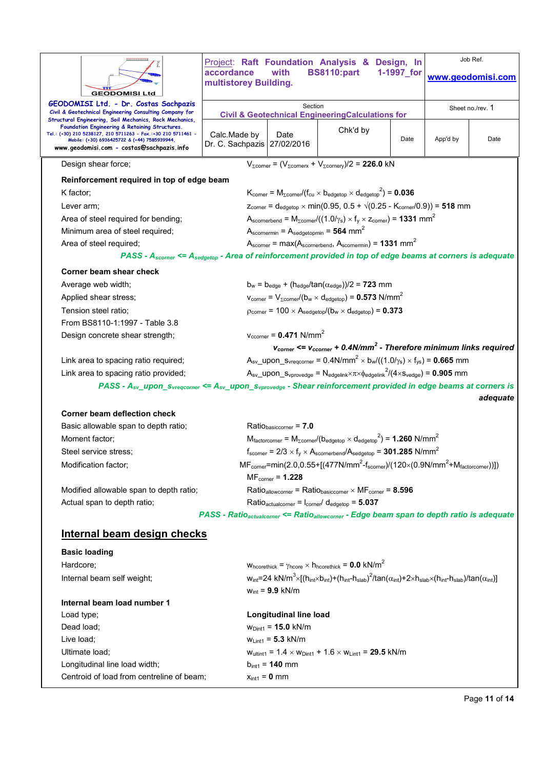| ,,,,,,,,,,,,,,<br><b>GEODOMISI Ltd</b>                                                                                                                                                                       | Project: Raft Foundation Analysis & Design, In<br>accordance<br>multistorey Building.                                                                                                                                                 | 1-1997 for                                                         |                                                                                                                                                             | Job Ref.<br>www.geodomisi.com |                  |          |  |
|--------------------------------------------------------------------------------------------------------------------------------------------------------------------------------------------------------------|---------------------------------------------------------------------------------------------------------------------------------------------------------------------------------------------------------------------------------------|--------------------------------------------------------------------|-------------------------------------------------------------------------------------------------------------------------------------------------------------|-------------------------------|------------------|----------|--|
| GEODOMISI Ltd. - Dr. Costas Sachpazis<br>Civil & Geotechnical Engineering Consulting Company for<br>Structural Engineering, Soil Mechanics, Rock Mechanics,                                                  |                                                                                                                                                                                                                                       | Section                                                            | <b>Civil &amp; Geotechnical EngineeringCalculations for</b>                                                                                                 |                               | Sheet no./rev. 1 |          |  |
| Foundation Engineering & Retaining Structures.<br>Tel.: (+30) 210 5238127, 210 5711263 - Fax.:+30 210 5711461 -<br>Mobile: (+30) 6936425722 & (+44) 7585939944,<br>www.geodomisi.com - costas@sachpazis.info | Calc.Made by<br>Dr. C. Sachpazis   27/02/2016                                                                                                                                                                                         | Date                                                               | Chk'd by                                                                                                                                                    | Date                          | App'd by         | Date     |  |
| Design shear force;                                                                                                                                                                                          | $V_{\Sigma^{\text{corner}}} = (V_{\Sigma^{\text{corner}}} + V_{\Sigma^{\text{corner}}})/2 = 226.0$ kN                                                                                                                                 |                                                                    |                                                                                                                                                             |                               |                  |          |  |
| Reinforcement required in top of edge beam                                                                                                                                                                   |                                                                                                                                                                                                                                       |                                                                    |                                                                                                                                                             |                               |                  |          |  |
| K factor:                                                                                                                                                                                                    |                                                                                                                                                                                                                                       |                                                                    | $K_{\text{corner}} = M_{\Sigma \text{corner}}/(f_{\text{cu}} \times b_{\text{edgetop}} \times d_{\text{edgetop}}^2) = 0.036$                                |                               |                  |          |  |
| Lever arm;                                                                                                                                                                                                   |                                                                                                                                                                                                                                       |                                                                    | $z_{\text{corner}} = d_{\text{edgetop}} \times \text{min}(0.95, 0.5 + \sqrt{(0.25 - K_{\text{corner}}/0.9)}) = 518 \text{ mm}$                              |                               |                  |          |  |
| Area of steel required for bending;                                                                                                                                                                          |                                                                                                                                                                                                                                       |                                                                    | $A_{\text{scomerbend}} = M_{\text{scomer}} / ((1.0/\gamma_{\text{s}}) \times f_{\text{y}} \times Z_{\text{comer}}) = 1331 \text{ mm}^2$                     |                               |                  |          |  |
| Minimum area of steel required;                                                                                                                                                                              |                                                                                                                                                                                                                                       | $A_{\text{sconermin}} = A_{\text{sedgetopmin}} = 564 \text{ mm}^2$ |                                                                                                                                                             |                               |                  |          |  |
| Area of steel required;                                                                                                                                                                                      |                                                                                                                                                                                                                                       |                                                                    | $A_{\text{scomer}} = \text{max}(A_{\text{scomerbend}}, A_{\text{scomermin}}) = 1331 \text{ mm}^2$                                                           |                               |                  |          |  |
| PASS - A <sub>scomer</sub> <= A <sub>sedgetop</sub> - Area of reinforcement provided in top of edge beams at corners is adequate                                                                             |                                                                                                                                                                                                                                       |                                                                    |                                                                                                                                                             |                               |                  |          |  |
| Corner beam shear check                                                                                                                                                                                      |                                                                                                                                                                                                                                       |                                                                    |                                                                                                                                                             |                               |                  |          |  |
| Average web width;                                                                                                                                                                                           |                                                                                                                                                                                                                                       |                                                                    | $b_w = b_{edge} + (h_{edge}/tan(\alpha_{edge}))/2 = 723$ mm                                                                                                 |                               |                  |          |  |
| Applied shear stress;                                                                                                                                                                                        |                                                                                                                                                                                                                                       |                                                                    | $V_{\text{corner}} = V_{\text{Zcomer}}/(b_w \times d_{\text{edgetop}}) = 0.573 \text{ N/mm}^2$                                                              |                               |                  |          |  |
| Tension steel ratio;                                                                                                                                                                                         |                                                                                                                                                                                                                                       |                                                                    | $\rho_{\text{corner}} = 100 \times A_{\text{sedgetop}}/(b_w \times d_{\text{edgetop}}) = 0.373$                                                             |                               |                  |          |  |
| From BS8110-1:1997 - Table 3.8                                                                                                                                                                               |                                                                                                                                                                                                                                       |                                                                    |                                                                                                                                                             |                               |                  |          |  |
| Design concrete shear strength;                                                                                                                                                                              |                                                                                                                                                                                                                                       | $v_{\text{corner}} = 0.471 \text{ N/mm}^2$                         |                                                                                                                                                             |                               |                  |          |  |
|                                                                                                                                                                                                              |                                                                                                                                                                                                                                       |                                                                    | $v_{\text{corner}} \le v_{\text{ccorner}} + 0.4 N/mm^2$ - Therefore minimum links required                                                                  |                               |                  |          |  |
| Link area to spacing ratio required;                                                                                                                                                                         |                                                                                                                                                                                                                                       |                                                                    | $A_{sv}\_\text{upon}\_\text{Svreccorner} = 0.4\text{N/mm}^2 \times \text{b}_w/((1.0/\gamma_s) \times \text{f}_\text{vs}) = 0.665\ \text{mm}$                |                               |                  |          |  |
| Link area to spacing ratio provided;                                                                                                                                                                         |                                                                                                                                                                                                                                       |                                                                    | $A_{sv}\_\text{upon}\_\text{Svprovedge} = N_{\text{edgelink}} \times \pi \times \phi_{\text{edgelink}}^2 / (4 \times S_{\text{vedge}}) = 0.905 \ \text{mm}$ |                               |                  |          |  |
| PASS - $A_{sv}\_\text{upon}\_\text{Svregcomer} \leq A_{sv}\_\text{upon}\_\text{Svprovedge}$ - Shear reinforcement provided in edge beams at corners is                                                       |                                                                                                                                                                                                                                       |                                                                    |                                                                                                                                                             |                               |                  |          |  |
|                                                                                                                                                                                                              |                                                                                                                                                                                                                                       |                                                                    |                                                                                                                                                             |                               |                  | adequate |  |
| <b>Corner beam deflection check</b>                                                                                                                                                                          |                                                                                                                                                                                                                                       |                                                                    |                                                                                                                                                             |                               |                  |          |  |
| Basic allowable span to depth ratio;                                                                                                                                                                         |                                                                                                                                                                                                                                       | $Ratio_{basiccorner} = 7.0$                                        |                                                                                                                                                             |                               |                  |          |  |
| Moment factor;                                                                                                                                                                                               |                                                                                                                                                                                                                                       |                                                                    | $M_{\text{factorcomer}} = M_{\text{2corner}}/(b_{\text{edgetop}} \times d_{\text{edgetop}}^2) = 1.260 \text{ N/mm}^2$                                       |                               |                  |          |  |
| Steel service stress:                                                                                                                                                                                        |                                                                                                                                                                                                                                       |                                                                    | $f_{\text{scomer}} = 2/3 \times f_y \times A_{\text{scornerbend}}/A_{\text{sedgetop}} = 301.285 \text{ N/mm}^2$                                             |                               |                  |          |  |
| Modification factor;                                                                                                                                                                                         |                                                                                                                                                                                                                                       | $MF_{corner} = 1.228$                                              | $MF_{\text{corner}} = min(2.0, 0.55 + [(477N/mm^2 - f_{\text{score}})/(120 \times (0.9N/mm^2 + M_{\text{factor corner}}))])$                                |                               |                  |          |  |
| Modified allowable span to depth ratio;                                                                                                                                                                      |                                                                                                                                                                                                                                       |                                                                    | $Ratio_{allowcorner} = Ratio_{basiccorner} \times MF_{corner} = 8.596$                                                                                      |                               |                  |          |  |
| Actual span to depth ratio;                                                                                                                                                                                  |                                                                                                                                                                                                                                       |                                                                    | Ratio <sub>actualcorner</sub> = $I_{\text{corner}}$ $d_{\text{edgetop}}$ = 5.037                                                                            |                               |                  |          |  |
|                                                                                                                                                                                                              |                                                                                                                                                                                                                                       |                                                                    | PASS - Ratio <sub>actualcorner</sub> <= Ratio <sub>allowcorner</sub> - Edge beam span to depth ratio is adequate                                            |                               |                  |          |  |
| Internal beam design checks                                                                                                                                                                                  |                                                                                                                                                                                                                                       |                                                                    |                                                                                                                                                             |                               |                  |          |  |
| <b>Basic loading</b>                                                                                                                                                                                         |                                                                                                                                                                                                                                       |                                                                    |                                                                                                                                                             |                               |                  |          |  |
| Hardcore;                                                                                                                                                                                                    |                                                                                                                                                                                                                                       |                                                                    | $W_{hcorethick}$ = $\gamma_{hcore} \times h_{hcorethick}$ = 0.0 kN/m <sup>2</sup>                                                                           |                               |                  |          |  |
| Internal beam self weight;                                                                                                                                                                                   | $w_{int}$ =24 kN/m <sup>3</sup> ×[(h <sub>int</sub> ×b <sub>int</sub> )+(h <sub>int</sub> -h <sub>slab</sub> ) <sup>2</sup> /tan( $\alpha_{int}$ )+2×h <sub>slab</sub> ×(h <sub>int</sub> -h <sub>slab</sub> )/tan( $\alpha_{int}$ )] |                                                                    |                                                                                                                                                             |                               |                  |          |  |
|                                                                                                                                                                                                              | $w_{int}$ = 9.9 kN/m                                                                                                                                                                                                                  |                                                                    |                                                                                                                                                             |                               |                  |          |  |
| Internal beam load number 1                                                                                                                                                                                  |                                                                                                                                                                                                                                       |                                                                    |                                                                                                                                                             |                               |                  |          |  |
| Load type;                                                                                                                                                                                                   |                                                                                                                                                                                                                                       | <b>Longitudinal line load</b>                                      |                                                                                                                                                             |                               |                  |          |  |
| Dead load;                                                                                                                                                                                                   |                                                                                                                                                                                                                                       | $w_{Dint1} = 15.0$ kN/m                                            |                                                                                                                                                             |                               |                  |          |  |
| Live load;                                                                                                                                                                                                   |                                                                                                                                                                                                                                       | $w_{Lint1} = 5.3$ kN/m                                             |                                                                                                                                                             |                               |                  |          |  |
| Ultimate load;                                                                                                                                                                                               |                                                                                                                                                                                                                                       |                                                                    | $w_{\text{ulitint1}} = 1.4 \times w_{\text{Dint1}} + 1.6 \times w_{\text{Lint1}} = 29.5 \text{ kN/m}$                                                       |                               |                  |          |  |
| Longitudinal line load width;                                                                                                                                                                                |                                                                                                                                                                                                                                       | $b_{int1} = 140$ mm                                                |                                                                                                                                                             |                               |                  |          |  |
| Centroid of load from centreline of beam;                                                                                                                                                                    | $x_{int1} = 0$ mm                                                                                                                                                                                                                     |                                                                    |                                                                                                                                                             |                               |                  |          |  |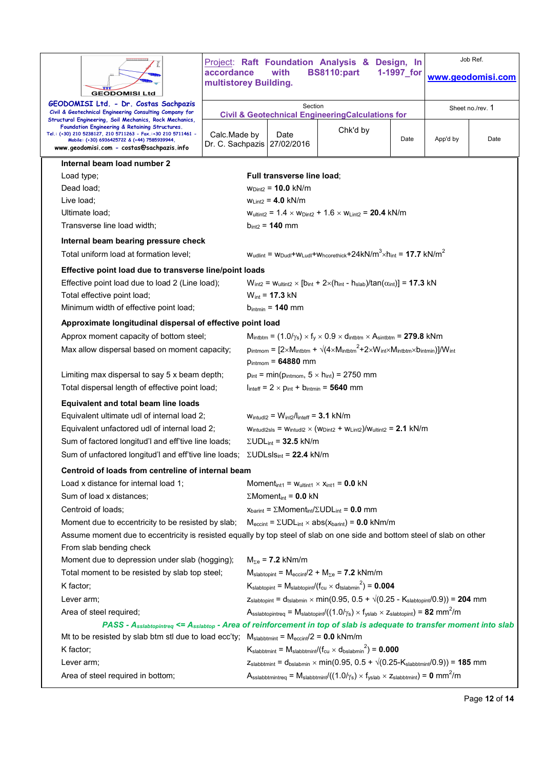|                                                                                                                          | accordance<br>multistorey Building.                                     |                                                                                                                                                                                                              | with                                                                                     | Project: Raft Foundation Analysis & Design, In<br><b>BS8110:part</b>                                                                                                                  | 1-1997_for | Job Ref.<br>www.geodomisi.com |                  |  |  |
|--------------------------------------------------------------------------------------------------------------------------|-------------------------------------------------------------------------|--------------------------------------------------------------------------------------------------------------------------------------------------------------------------------------------------------------|------------------------------------------------------------------------------------------|---------------------------------------------------------------------------------------------------------------------------------------------------------------------------------------|------------|-------------------------------|------------------|--|--|
| <b>GEODOMISI Ltd</b>                                                                                                     |                                                                         |                                                                                                                                                                                                              |                                                                                          |                                                                                                                                                                                       |            |                               |                  |  |  |
| GEODOMISI Ltd. - Dr. Costas Sachpazis<br>Civil & Geotechnical Engineering Consulting Company for                         |                                                                         |                                                                                                                                                                                                              | Section                                                                                  | <b>Civil &amp; Geotechnical EngineeringCalculations for</b>                                                                                                                           |            |                               | Sheet no./rev. 1 |  |  |
| Structural Engineering, Soil Mechanics, Rock Mechanics,<br>Foundation Engineering & Retaining Structures.                |                                                                         |                                                                                                                                                                                                              |                                                                                          |                                                                                                                                                                                       |            |                               |                  |  |  |
| Tel.: (+30) 210 5238127, 210 5711263 - Fax.:+30 210 5711461 -<br>Mobile: (+30) 6936425722 & (+44) 7585939944,            | Calc.Made by                                                            |                                                                                                                                                                                                              | Date                                                                                     | Chk'd by                                                                                                                                                                              | Date       | App'd by                      | Date             |  |  |
| www.geodomisi.com - costas@sachpazis.info                                                                                |                                                                         |                                                                                                                                                                                                              | Dr. C. Sachpazis   27/02/2016                                                            |                                                                                                                                                                                       |            |                               |                  |  |  |
| Internal beam load number 2                                                                                              |                                                                         |                                                                                                                                                                                                              |                                                                                          |                                                                                                                                                                                       |            |                               |                  |  |  |
| Load type;                                                                                                               |                                                                         |                                                                                                                                                                                                              | Full transverse line load:                                                               |                                                                                                                                                                                       |            |                               |                  |  |  |
| Dead load;                                                                                                               |                                                                         |                                                                                                                                                                                                              | $w_{Dint2} = 10.0$ kN/m                                                                  |                                                                                                                                                                                       |            |                               |                  |  |  |
| Live load;                                                                                                               |                                                                         |                                                                                                                                                                                                              | $W_{Lint2} = 4.0$ kN/m                                                                   |                                                                                                                                                                                       |            |                               |                  |  |  |
| Ultimate load:                                                                                                           |                                                                         |                                                                                                                                                                                                              |                                                                                          | $W_{\text{ultint2}} = 1.4 \times W_{\text{Dint2}} + 1.6 \times W_{\text{Lint2}} = 20.4 \text{ kN/m}$                                                                                  |            |                               |                  |  |  |
| Transverse line load width;                                                                                              |                                                                         |                                                                                                                                                                                                              | $b_{int2} = 140$ mm                                                                      |                                                                                                                                                                                       |            |                               |                  |  |  |
| Internal beam bearing pressure check                                                                                     |                                                                         |                                                                                                                                                                                                              |                                                                                          |                                                                                                                                                                                       |            |                               |                  |  |  |
| Total uniform load at formation level;                                                                                   |                                                                         |                                                                                                                                                                                                              |                                                                                          | $W_{\text{udlint}} = W_{\text{Dud}} + W_{\text{Lud}} + W_{\text{hcorethick}} + 24 \text{kN/m}^3 \times h_{\text{int}} = 17.7 \text{ kN/m}^2$                                          |            |                               |                  |  |  |
|                                                                                                                          |                                                                         |                                                                                                                                                                                                              |                                                                                          |                                                                                                                                                                                       |            |                               |                  |  |  |
| Effective point load due to transverse line/point loads                                                                  |                                                                         |                                                                                                                                                                                                              |                                                                                          |                                                                                                                                                                                       |            |                               |                  |  |  |
| Effective point load due to load 2 (Line load);                                                                          |                                                                         |                                                                                                                                                                                                              |                                                                                          | $W_{int2}$ = $W_{ultnt2}$ × [ $b_{int}$ + 2×( $h_{int}$ - $h_{slab}$ )/tan( $\alpha_{int}$ )] = 17.3 kN                                                                               |            |                               |                  |  |  |
| Total effective point load;                                                                                              |                                                                         |                                                                                                                                                                                                              | $W_{int} = 17.3$ kN                                                                      |                                                                                                                                                                                       |            |                               |                  |  |  |
| Minimum width of effective point load;                                                                                   |                                                                         |                                                                                                                                                                                                              | $b_{intimin}$ = 140 mm                                                                   |                                                                                                                                                                                       |            |                               |                  |  |  |
| Approximate longitudinal dispersal of effective point load                                                               |                                                                         |                                                                                                                                                                                                              |                                                                                          |                                                                                                                                                                                       |            |                               |                  |  |  |
| Approx moment capacity of bottom steel;                                                                                  |                                                                         |                                                                                                                                                                                                              |                                                                                          | $M_{\text{intbtm}} = (1.0/\gamma_s) \times f_y \times 0.9 \times d_{\text{intbtm}} \times A_{\text{sintbtm}} = 279.8 \text{ kNm}$                                                     |            |                               |                  |  |  |
| Max allow dispersal based on moment capacity;                                                                            |                                                                         |                                                                                                                                                                                                              |                                                                                          | $p_{\text{intmom}} = [2 \times M_{\text{intbtm}} + \sqrt{(4 \times M_{\text{intbtm}}^2 + 2 \times W_{\text{int}} \times M_{\text{intbtm}} \times b_{\text{intmin}})}]/W_{\text{int}}$ |            |                               |                  |  |  |
|                                                                                                                          | $p_{\text{intmom}} = 64880$ mm                                          |                                                                                                                                                                                                              |                                                                                          |                                                                                                                                                                                       |            |                               |                  |  |  |
| Limiting max dispersal to say 5 x beam depth;                                                                            | $p_{int}$ = min( $p_{intmom}$ , 5 $\times$ h <sub>int</sub> ) = 2750 mm |                                                                                                                                                                                                              |                                                                                          |                                                                                                                                                                                       |            |                               |                  |  |  |
| Total dispersal length of effective point load;                                                                          |                                                                         |                                                                                                                                                                                                              | $I_{\text{inteff}}$ = 2 $\times$ p <sub>int</sub> + b <sub>intmin</sub> = <b>5640</b> mm |                                                                                                                                                                                       |            |                               |                  |  |  |
| <b>Equivalent and total beam line loads</b>                                                                              |                                                                         |                                                                                                                                                                                                              |                                                                                          |                                                                                                                                                                                       |            |                               |                  |  |  |
| Equivalent ultimate udl of internal load 2;                                                                              |                                                                         |                                                                                                                                                                                                              | $W_{intud12} = W_{int2}/I_{interf} = 3.1$ kN/m                                           |                                                                                                                                                                                       |            |                               |                  |  |  |
| Equivalent unfactored udl of internal load 2;                                                                            |                                                                         | $W_{intud2sis} = W_{intud12} \times (W_{Dint2} + W_{Lint2})/W_{ultint2} = 2.1$ kN/m                                                                                                                          |                                                                                          |                                                                                                                                                                                       |            |                               |                  |  |  |
| Sum of factored longitud'l and eff'tive line loads;                                                                      |                                                                         | $\Sigma UDL_{int}$ = 32.5 kN/m                                                                                                                                                                               |                                                                                          |                                                                                                                                                                                       |            |                               |                  |  |  |
| Sum of unfactored longitud'l and eff'tive line loads;                                                                    |                                                                         |                                                                                                                                                                                                              | $\Sigma$ UDLsIs <sub>int</sub> = 22.4 kN/m                                               |                                                                                                                                                                                       |            |                               |                  |  |  |
| Centroid of loads from centreline of internal beam                                                                       |                                                                         |                                                                                                                                                                                                              |                                                                                          |                                                                                                                                                                                       |            |                               |                  |  |  |
| Load x distance for internal load 1;                                                                                     |                                                                         |                                                                                                                                                                                                              | Moment <sub>int1</sub> = $w_{\text{ultint1}} \times x_{\text{int1}} = 0.0$ kN            |                                                                                                                                                                                       |            |                               |                  |  |  |
| Sum of load x distances;                                                                                                 |                                                                         |                                                                                                                                                                                                              | $\Sigma$ Moment <sub>int</sub> = 0.0 kN                                                  |                                                                                                                                                                                       |            |                               |                  |  |  |
| Centroid of loads;                                                                                                       |                                                                         |                                                                                                                                                                                                              |                                                                                          |                                                                                                                                                                                       |            |                               |                  |  |  |
| Moment due to eccentricity to be resisted by slab;                                                                       |                                                                         | $x_{\text{barint}} = \Sigma \text{Moment}_{\text{int}} / \Sigma \text{UDL}_{\text{int}} = 0.0 \text{ mm}$<br>$M_{\text{eccint}} = \Sigma UDL_{\text{int}} \times abs(x_{\text{barint}}) = 0.0 \text{ kNm/m}$ |                                                                                          |                                                                                                                                                                                       |            |                               |                  |  |  |
| Assume moment due to eccentricity is resisted equally by top steel of slab on one side and bottom steel of slab on other |                                                                         |                                                                                                                                                                                                              |                                                                                          |                                                                                                                                                                                       |            |                               |                  |  |  |
| From slab bending check                                                                                                  |                                                                         |                                                                                                                                                                                                              |                                                                                          |                                                                                                                                                                                       |            |                               |                  |  |  |
| Moment due to depression under slab (hogging);                                                                           |                                                                         |                                                                                                                                                                                                              | $M_{\Sigma e}$ = 7.2 kNm/m                                                               |                                                                                                                                                                                       |            |                               |                  |  |  |
| Total moment to be resisted by slab top steel;                                                                           |                                                                         |                                                                                                                                                                                                              |                                                                                          | $M_{\text{slabtopint}} = M_{\text{eccint}}/2 + M_{\Sigma e} = 7.2 \text{ kNm/m}$                                                                                                      |            |                               |                  |  |  |
| K factor;                                                                                                                |                                                                         |                                                                                                                                                                                                              |                                                                                          | $K_{\text{slabtopint}} = M_{\text{slabtopint}}/(f_{\text{cu}} \times d_{\text{tslabmin}}^2) = 0.004$                                                                                  |            |                               |                  |  |  |
| Lever arm;                                                                                                               |                                                                         |                                                                                                                                                                                                              |                                                                                          | $z_{\text{slabtopint}} = d_{\text{tslabmin}} \times \text{min}(0.95, 0.5 + \sqrt{(0.25 - K_{\text{slabtopint}}/0.9)}) = 204 \text{ mm}$                                               |            |                               |                  |  |  |
| Area of steel required;                                                                                                  |                                                                         |                                                                                                                                                                                                              |                                                                                          | Asslabtopintreq = $M_{\text{slabtopint}} / ((1.0/\gamma_{\text{s}}) \times f_{\text{yslab}} \times Z_{\text{slabtopint}}) = 82 \text{ mm}^2/\text{m}$                                 |            |                               |                  |  |  |
| PASS - Asslabtopintreq <= Asslabtop - Area of reinforcement in top of slab is adequate to transfer moment into slab      |                                                                         |                                                                                                                                                                                                              |                                                                                          |                                                                                                                                                                                       |            |                               |                  |  |  |
| Mt to be resisted by slab btm stl due to load ecc'ty;                                                                    |                                                                         |                                                                                                                                                                                                              | $M_{\text{slabbtmint}} = M_{\text{eccint}}/2 = 0.0 \text{ kNm/m}$                        |                                                                                                                                                                                       |            |                               |                  |  |  |
| K factor;                                                                                                                |                                                                         |                                                                                                                                                                                                              |                                                                                          | $K_{\text{slabbtrnint}} = M_{\text{slabbtrnint}} / (f_{\text{cu}} \times d_{\text{bslabmin}}^2) = 0.000$                                                                              |            |                               |                  |  |  |
| Lever arm;                                                                                                               |                                                                         |                                                                                                                                                                                                              |                                                                                          | $z_{\text{slabbtmint}} = d_{\text{bslabmin}} \times \text{min}(0.95, 0.5 + \sqrt{(0.25 - K_{\text{slabbtmint}}/0.9)}) = 185 \text{ mm}$                                               |            |                               |                  |  |  |
| Area of steel required in bottom;                                                                                        |                                                                         |                                                                                                                                                                                                              |                                                                                          | $A_{\text{sslabbtmintreq}} = M_{\text{slabbtmint}} / ((1.0/\gamma_{\text{s}}) \times f_{\text{yslab}} \times z_{\text{slabbtmint}}) = 0 \text{ mm}^2 / \text{m}$                      |            |                               |                  |  |  |
|                                                                                                                          |                                                                         |                                                                                                                                                                                                              |                                                                                          |                                                                                                                                                                                       |            |                               |                  |  |  |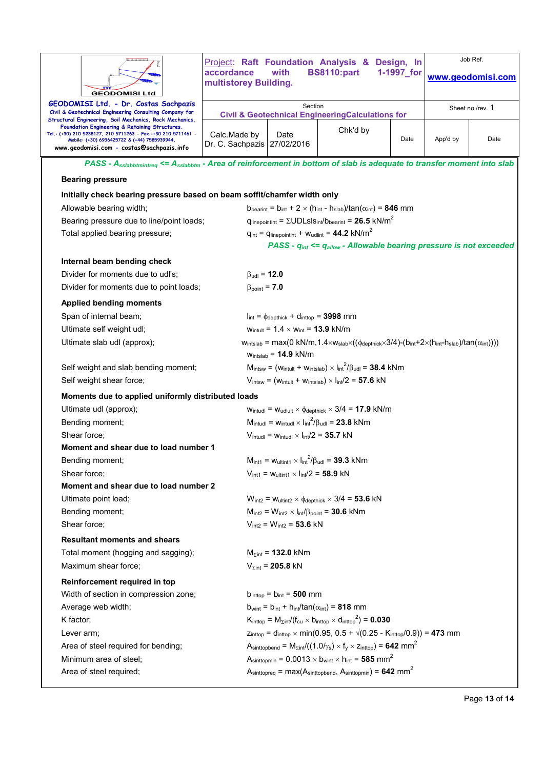| <b>GEODOMISI Ltd</b>                                                                                                                                                                                                                                                    | Project: Raft Foundation Analysis & Design, In<br>accordance<br>multistorey Building.                                                                                                                | 1-1997_for                                                                               | Job Ref.<br>www.geodomisi.com                                                                                                                                                                                   |      |          |                  |  |  |  |
|-------------------------------------------------------------------------------------------------------------------------------------------------------------------------------------------------------------------------------------------------------------------------|------------------------------------------------------------------------------------------------------------------------------------------------------------------------------------------------------|------------------------------------------------------------------------------------------|-----------------------------------------------------------------------------------------------------------------------------------------------------------------------------------------------------------------|------|----------|------------------|--|--|--|
| GEODOMISI Ltd. - Dr. Costas Sachpazis<br>Civil & Geotechnical Engineering Consulting Company for                                                                                                                                                                        |                                                                                                                                                                                                      | Section                                                                                  | <b>Civil &amp; Geotechnical EngineeringCalculations for</b>                                                                                                                                                     |      |          | Sheet no./rev. 1 |  |  |  |
| Structural Engineering, Soil Mechanics, Rock Mechanics,<br>Foundation Engineering & Retaining Structures.<br>Tel.: (+30) 210 5238127, 210 5711263 - Fax.:+30 210 5711461 -<br>Mobile: (+30) 6936425722 & (+44) 7585939944,<br>www.geodomisi.com - costas@sachpazis.info | Calc.Made by<br>Dr. C. Sachpazis   27/02/2016                                                                                                                                                        | Date                                                                                     | Chk'd by                                                                                                                                                                                                        | Date | App'd by | Date             |  |  |  |
| PASS - A <sub>sslabbtmintreq</sub> <= A <sub>sslabbtm</sub> - Area of reinforcement in bottom of slab is adequate to transfer moment into slab                                                                                                                          |                                                                                                                                                                                                      |                                                                                          |                                                                                                                                                                                                                 |      |          |                  |  |  |  |
| <b>Bearing pressure</b>                                                                                                                                                                                                                                                 |                                                                                                                                                                                                      |                                                                                          |                                                                                                                                                                                                                 |      |          |                  |  |  |  |
| Initially check bearing pressure based on beam soffit/chamfer width only                                                                                                                                                                                                |                                                                                                                                                                                                      |                                                                                          |                                                                                                                                                                                                                 |      |          |                  |  |  |  |
| Allowable bearing width;                                                                                                                                                                                                                                                |                                                                                                                                                                                                      |                                                                                          | $b_{\text{bearint}} = b_{\text{int}} + 2 \times (h_{\text{int}} - h_{\text{slab}})/\tan(\alpha_{\text{int}}) = 846$ mm                                                                                          |      |          |                  |  |  |  |
| Bearing pressure due to line/point loads;                                                                                                                                                                                                                               |                                                                                                                                                                                                      |                                                                                          | $q_{\text{linepoint} = \Sigma \text{UDLsls}_{\text{int}}/b_{\text{beam}t} = 26.5 \text{ kN/m}^2$                                                                                                                |      |          |                  |  |  |  |
| Total applied bearing pressure;                                                                                                                                                                                                                                         |                                                                                                                                                                                                      |                                                                                          | $q_{int} = q_{linepoint} + w_{udlint} = 44.2 \text{ kN/m}^2$                                                                                                                                                    |      |          |                  |  |  |  |
|                                                                                                                                                                                                                                                                         |                                                                                                                                                                                                      |                                                                                          | PASS - $q_{int}$ <= $q_{allow}$ - Allowable bearing pressure is not exceeded                                                                                                                                    |      |          |                  |  |  |  |
| Internal beam bending check                                                                                                                                                                                                                                             |                                                                                                                                                                                                      |                                                                                          |                                                                                                                                                                                                                 |      |          |                  |  |  |  |
| Divider for moments due to udl's;                                                                                                                                                                                                                                       | $\beta_{\text{udl}} = 12.0$                                                                                                                                                                          |                                                                                          |                                                                                                                                                                                                                 |      |          |                  |  |  |  |
| Divider for moments due to point loads;                                                                                                                                                                                                                                 | $\beta_{point} = 7.0$                                                                                                                                                                                |                                                                                          |                                                                                                                                                                                                                 |      |          |                  |  |  |  |
| <b>Applied bending moments</b>                                                                                                                                                                                                                                          |                                                                                                                                                                                                      |                                                                                          |                                                                                                                                                                                                                 |      |          |                  |  |  |  |
| Span of internal beam;                                                                                                                                                                                                                                                  |                                                                                                                                                                                                      | $I_{int} = \phi_{depthick} + d_{inttop} = 3998$ mm                                       |                                                                                                                                                                                                                 |      |          |                  |  |  |  |
| Ultimate self weight udl;                                                                                                                                                                                                                                               |                                                                                                                                                                                                      | $w_{\text{intult}} = 1.4 \times w_{\text{int}} = 13.9 \text{ kN/m}$                      |                                                                                                                                                                                                                 |      |          |                  |  |  |  |
| Ultimate slab udl (approx);                                                                                                                                                                                                                                             |                                                                                                                                                                                                      | $W_{intslab} = 14.9$ kN/m                                                                | $w_{\text{intslab}} = \max(0 \text{ kN/m}, 1.4 \times w_{\text{slab}} \times ((\phi_{\text{depthick}} \times 3/4) - (b_{\text{int}} + 2 \times (h_{\text{int}} - h_{\text{slab}})/\tan(\alpha_{\text{int}}))))$ |      |          |                  |  |  |  |
| Self weight and slab bending moment;                                                                                                                                                                                                                                    |                                                                                                                                                                                                      |                                                                                          |                                                                                                                                                                                                                 |      |          |                  |  |  |  |
| Self weight shear force;                                                                                                                                                                                                                                                | $M_{\text{intsw}} = (w_{\text{intult}} + w_{\text{intslab}}) \times I_{\text{int}}^2 / \beta_{\text{udl}} = 38.4 \text{ kNm}$<br>$V_{intsw} = (W_{intult} + W_{intslab}) \times I_{int}/2 = 57.6$ kN |                                                                                          |                                                                                                                                                                                                                 |      |          |                  |  |  |  |
|                                                                                                                                                                                                                                                                         |                                                                                                                                                                                                      |                                                                                          |                                                                                                                                                                                                                 |      |          |                  |  |  |  |
| Moments due to applied uniformly distributed loads                                                                                                                                                                                                                      |                                                                                                                                                                                                      |                                                                                          |                                                                                                                                                                                                                 |      |          |                  |  |  |  |
| Ultimate udl (approx);                                                                                                                                                                                                                                                  |                                                                                                                                                                                                      |                                                                                          | $W_{\text{intudl}} = W_{\text{udlult}} \times \phi_{\text{depthick}} \times 3/4 = 17.9 \text{ kN/m}$<br>$M_{\text{intudl}} = w_{\text{intudl}} \times I_{\text{int}}^2 / \beta_{\text{udl}} = 23.8 \text{ kNm}$ |      |          |                  |  |  |  |
| Bending moment;<br>Shear force:                                                                                                                                                                                                                                         |                                                                                                                                                                                                      | $V_{\text{intud}} = W_{\text{intud}} \times I_{\text{int}}/2 = 35.7 \text{ kN}$          |                                                                                                                                                                                                                 |      |          |                  |  |  |  |
| Moment and shear due to load number 1                                                                                                                                                                                                                                   |                                                                                                                                                                                                      |                                                                                          |                                                                                                                                                                                                                 |      |          |                  |  |  |  |
| Bending moment;                                                                                                                                                                                                                                                         |                                                                                                                                                                                                      | $M_{int1} = w_{ultint1} \times I_{int}^2/\beta_{udl} = 39.3$ kNm                         |                                                                                                                                                                                                                 |      |          |                  |  |  |  |
| Shear force;                                                                                                                                                                                                                                                            |                                                                                                                                                                                                      | $V_{int1} = W_{ultint1} \times I_{int}/2 = 58.9$ kN                                      |                                                                                                                                                                                                                 |      |          |                  |  |  |  |
| Moment and shear due to load number 2                                                                                                                                                                                                                                   |                                                                                                                                                                                                      |                                                                                          |                                                                                                                                                                                                                 |      |          |                  |  |  |  |
| Ultimate point load;                                                                                                                                                                                                                                                    |                                                                                                                                                                                                      |                                                                                          | $W_{int2}$ = $W_{ultint2} \times \phi_{depthick} \times 3/4 = 53.6$ kN                                                                                                                                          |      |          |                  |  |  |  |
| Bending moment;                                                                                                                                                                                                                                                         |                                                                                                                                                                                                      | $M_{int2}$ = $W_{int2} \times I_{int}/\beta_{point}$ = 30.6 kNm                          |                                                                                                                                                                                                                 |      |          |                  |  |  |  |
| Shear force;                                                                                                                                                                                                                                                            |                                                                                                                                                                                                      | $V_{int2}$ = W <sub>int2</sub> = 53.6 kN                                                 |                                                                                                                                                                                                                 |      |          |                  |  |  |  |
| <b>Resultant moments and shears</b>                                                                                                                                                                                                                                     |                                                                                                                                                                                                      |                                                                                          |                                                                                                                                                                                                                 |      |          |                  |  |  |  |
| Total moment (hogging and sagging);                                                                                                                                                                                                                                     |                                                                                                                                                                                                      | $M2int = 132.0$ kNm                                                                      |                                                                                                                                                                                                                 |      |          |                  |  |  |  |
| Maximum shear force;                                                                                                                                                                                                                                                    |                                                                                                                                                                                                      | $V_{\text{Zint}}$ = 205.8 kN                                                             |                                                                                                                                                                                                                 |      |          |                  |  |  |  |
| Reinforcement required in top                                                                                                                                                                                                                                           |                                                                                                                                                                                                      |                                                                                          |                                                                                                                                                                                                                 |      |          |                  |  |  |  |
| Width of section in compression zone;                                                                                                                                                                                                                                   |                                                                                                                                                                                                      | $binttop = bint = 500 mm$                                                                |                                                                                                                                                                                                                 |      |          |                  |  |  |  |
| Average web width;                                                                                                                                                                                                                                                      |                                                                                                                                                                                                      | $b_{\text{wint}} = b_{\text{int}} + h_{\text{int}} / \tan(\alpha_{\text{int}}) = 818$ mm |                                                                                                                                                                                                                 |      |          |                  |  |  |  |
| K factor;                                                                                                                                                                                                                                                               |                                                                                                                                                                                                      |                                                                                          | $K_{\text{inttop}} = M_{\text{2int}}/(f_{\text{cu}} \times b_{\text{inttop}} \times d_{\text{inttop}}^2) = 0.030$                                                                                               |      |          |                  |  |  |  |
| Lever arm;                                                                                                                                                                                                                                                              |                                                                                                                                                                                                      |                                                                                          | $z_{\text{inttop}} = d_{\text{inttop}} \times \text{min}(0.95, 0.5 + \sqrt{(0.25 - K_{\text{inttop}}/0.9)}) = 473 \text{ mm}$                                                                                   |      |          |                  |  |  |  |
| Area of steel required for bending;                                                                                                                                                                                                                                     |                                                                                                                                                                                                      |                                                                                          | $A_{\text{sinttopbend}} = M_{\text{Zint}} / ((1.0/\gamma_s) \times f_v \times Z_{\text{inttop}}) = 642 \text{ mm}^2$                                                                                            |      |          |                  |  |  |  |
| Minimum area of steel;                                                                                                                                                                                                                                                  |                                                                                                                                                                                                      |                                                                                          | $A_{\text{sinttopmin}} = 0.0013 \times b_{\text{wint}} \times h_{\text{int}} = 585 \text{ mm}^2$                                                                                                                |      |          |                  |  |  |  |
| Area of steel required;                                                                                                                                                                                                                                                 |                                                                                                                                                                                                      |                                                                                          | $A_{\text{sinftopreq}} = \max(A_{\text{sinftopbend}}, A_{\text{sinftopmin}}) = 642 \text{ mm}^2$                                                                                                                |      |          |                  |  |  |  |
|                                                                                                                                                                                                                                                                         |                                                                                                                                                                                                      |                                                                                          |                                                                                                                                                                                                                 |      |          |                  |  |  |  |